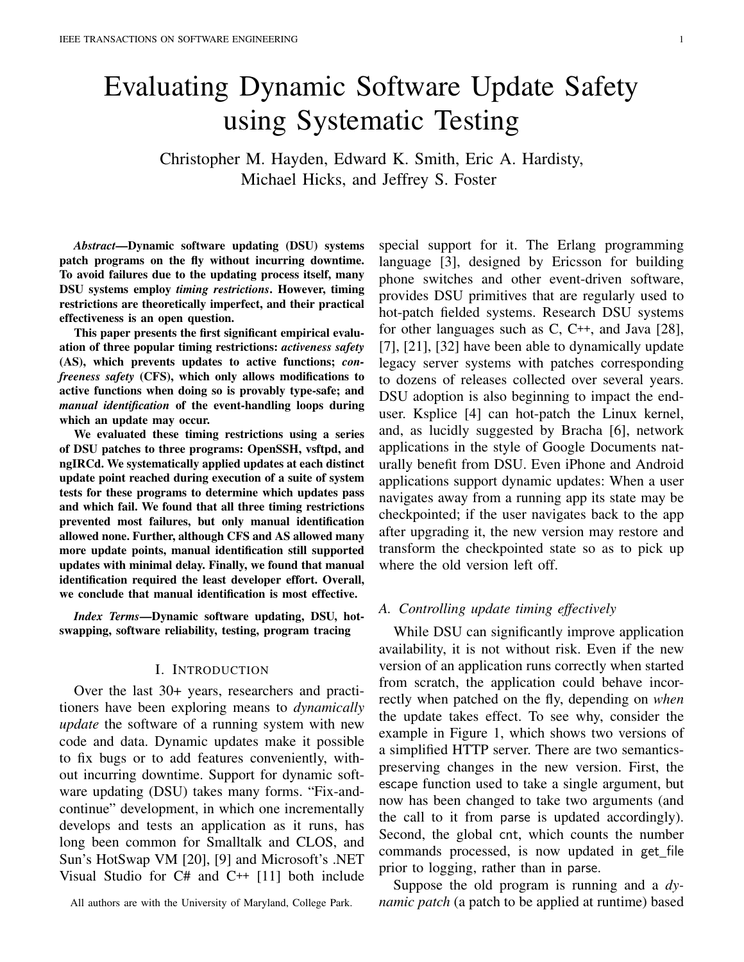# Evaluating Dynamic Software Update Safety using Systematic Testing

Christopher M. Hayden, Edward K. Smith, Eric A. Hardisty, Michael Hicks, and Jeffrey S. Foster

*Abstract*—Dynamic software updating (DSU) systems patch programs on the fly without incurring downtime. To avoid failures due to the updating process itself, many DSU systems employ *timing restrictions*. However, timing restrictions are theoretically imperfect, and their practical effectiveness is an open question.

This paper presents the first significant empirical evaluation of three popular timing restrictions: *activeness safety* (AS), which prevents updates to active functions; *confreeness safety* (CFS), which only allows modifications to active functions when doing so is provably type-safe; and *manual identification* of the event-handling loops during which an update may occur.

We evaluated these timing restrictions using a series of DSU patches to three programs: OpenSSH, vsftpd, and ngIRCd. We systematically applied updates at each distinct update point reached during execution of a suite of system tests for these programs to determine which updates pass and which fail. We found that all three timing restrictions prevented most failures, but only manual identification allowed none. Further, although CFS and AS allowed many more update points, manual identification still supported updates with minimal delay. Finally, we found that manual identification required the least developer effort. Overall, we conclude that manual identification is most effective.

*Index Terms*—Dynamic software updating, DSU, hotswapping, software reliability, testing, program tracing

## I. INTRODUCTION

Over the last 30+ years, researchers and practitioners have been exploring means to *dynamically update* the software of a running system with new code and data. Dynamic updates make it possible to fix bugs or to add features conveniently, without incurring downtime. Support for dynamic software updating (DSU) takes many forms. "Fix-andcontinue" development, in which one incrementally develops and tests an application as it runs, has long been common for Smalltalk and CLOS, and Sun's HotSwap VM [20], [9] and Microsoft's .NET Visual Studio for C# and C++ [11] both include

All authors are with the University of Maryland, College Park.

special support for it. The Erlang programming language [3], designed by Ericsson for building phone switches and other event-driven software, provides DSU primitives that are regularly used to hot-patch fielded systems. Research DSU systems for other languages such as C, C++, and Java [28], [7], [21], [32] have been able to dynamically update legacy server systems with patches corresponding to dozens of releases collected over several years. DSU adoption is also beginning to impact the enduser. Ksplice [4] can hot-patch the Linux kernel, and, as lucidly suggested by Bracha [6], network applications in the style of Google Documents naturally benefit from DSU. Even iPhone and Android applications support dynamic updates: When a user navigates away from a running app its state may be checkpointed; if the user navigates back to the app after upgrading it, the new version may restore and transform the checkpointed state so as to pick up where the old version left off.

# *A. Controlling update timing effectively*

While DSU can significantly improve application availability, it is not without risk. Even if the new version of an application runs correctly when started from scratch, the application could behave incorrectly when patched on the fly, depending on *when* the update takes effect. To see why, consider the example in Figure 1, which shows two versions of a simplified HTTP server. There are two semanticspreserving changes in the new version. First, the escape function used to take a single argument, but now has been changed to take two arguments (and the call to it from parse is updated accordingly). Second, the global cnt, which counts the number commands processed, is now updated in get file prior to logging, rather than in parse.

Suppose the old program is running and a *dynamic patch* (a patch to be applied at runtime) based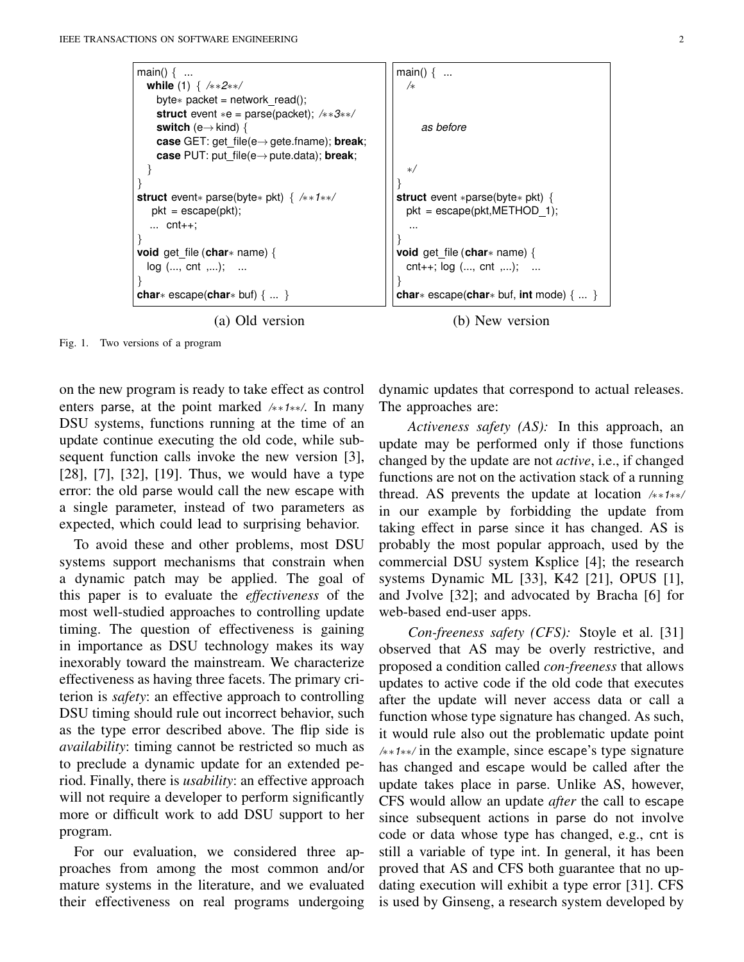

(a) Old version (b) New version

Fig. 1. Two versions of a program

on the new program is ready to take effect as control enters parse, at the point marked */*∗∗*1*∗∗*/*. In many DSU systems, functions running at the time of an update continue executing the old code, while subsequent function calls invoke the new version [3], [28], [7], [32], [19]. Thus, we would have a type error: the old parse would call the new escape with a single parameter, instead of two parameters as expected, which could lead to surprising behavior.

To avoid these and other problems, most DSU systems support mechanisms that constrain when a dynamic patch may be applied. The goal of this paper is to evaluate the *effectiveness* of the most well-studied approaches to controlling update timing. The question of effectiveness is gaining in importance as DSU technology makes its way inexorably toward the mainstream. We characterize effectiveness as having three facets. The primary criterion is *safety*: an effective approach to controlling DSU timing should rule out incorrect behavior, such as the type error described above. The flip side is *availability*: timing cannot be restricted so much as to preclude a dynamic update for an extended period. Finally, there is *usability*: an effective approach will not require a developer to perform significantly more or difficult work to add DSU support to her program.

For our evaluation, we considered three approaches from among the most common and/or mature systems in the literature, and we evaluated their effectiveness on real programs undergoing dynamic updates that correspond to actual releases. The approaches are:

*Activeness safety (AS):* In this approach, an update may be performed only if those functions changed by the update are not *active*, i.e., if changed functions are not on the activation stack of a running thread. AS prevents the update at location */*∗∗*1*∗∗*/* in our example by forbidding the update from taking effect in parse since it has changed. AS is probably the most popular approach, used by the commercial DSU system Ksplice [4]; the research systems Dynamic ML [33], K42 [21], OPUS [1], and Jvolve [32]; and advocated by Bracha [6] for web-based end-user apps.

*Con-freeness safety (CFS):* Stoyle et al. [31] observed that AS may be overly restrictive, and proposed a condition called *con-freeness* that allows updates to active code if the old code that executes after the update will never access data or call a function whose type signature has changed. As such, it would rule also out the problematic update point */*∗∗*1*∗∗*/* in the example, since escape's type signature has changed and escape would be called after the update takes place in parse. Unlike AS, however, CFS would allow an update *after* the call to escape since subsequent actions in parse do not involve code or data whose type has changed, e.g., cnt is still a variable of type int. In general, it has been proved that AS and CFS both guarantee that no updating execution will exhibit a type error [31]. CFS is used by Ginseng, a research system developed by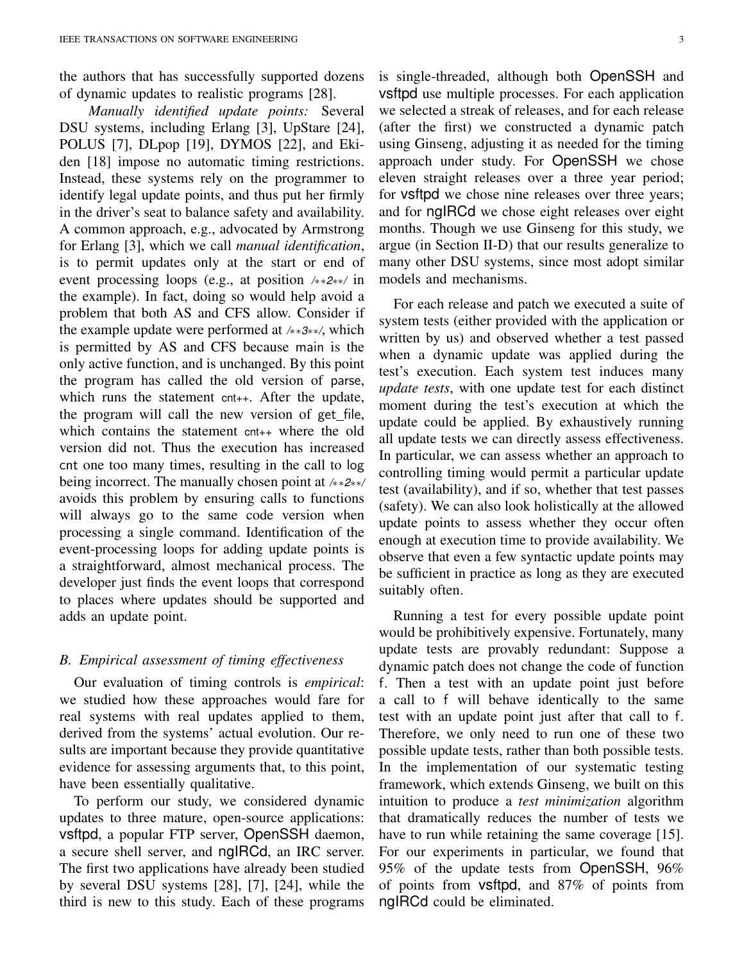the authors that has successfully supported dozens of dynamic updates to realistic programs [28].

*Manually identified update points:* Several DSU systems, including Erlang [3], UpStare [24], POLUS [7], DLpop [19], DYMOS [22], and Ekiden [18] impose no automatic timing restrictions. Instead, these systems rely on the programmer to identify legal update points, and thus put her firmly in the driver's seat to balance safety and availability. A common approach, e.g., advocated by Armstrong for Erlang [3], which we call *manual identification*, is to permit updates only at the start or end of event processing loops (e.g., at position */*∗∗*2*∗∗*/* in the example). In fact, doing so would help avoid a problem that both AS and CFS allow. Consider if the example update were performed at */*∗∗*3*∗∗*/*, which is permitted by AS and CFS because main is the only active function, and is unchanged. By this point the program has called the old version of parse, which runs the statement cnt++. After the update, the program will call the new version of get\_file, which contains the statement cnt++ where the old version did not. Thus the execution has increased cnt one too many times, resulting in the call to log being incorrect. The manually chosen point at */*∗∗*2*∗∗*/* avoids this problem by ensuring calls to functions will always go to the same code version when processing a single command. Identification of the event-processing loops for adding update points is a straightforward, almost mechanical process. The developer just finds the event loops that correspond to places where updates should be supported and adds an update point.

# *B. Empirical assessment of timing effectiveness*

Our evaluation of timing controls is *empirical*: we studied how these approaches would fare for real systems with real updates applied to them, derived from the systems' actual evolution. Our results are important because they provide quantitative evidence for assessing arguments that, to this point, have been essentially qualitative.

To perform our study, we considered dynamic updates to three mature, open-source applications: vsftpd, a popular FTP server, OpenSSH daemon, a secure shell server, and ngIRCd, an IRC server. The first two applications have already been studied by several DSU systems [28], [7], [24], while the third is new to this study. Each of these programs

vsftpd use multiple processes. For each application we selected a streak of releases, and for each release (after the first) we constructed a dynamic patch using Ginseng, adjusting it as needed for the timing approach under study. For OpenSSH we chose eleven straight releases over a three year period; for vsftpd we chose nine releases over three years; and for ngIRCd we chose eight releases over eight months. Though we use Ginseng for this study, we argue (in Section II-D) that our results generalize to many other DSU systems, since most adopt similar models and mechanisms.

For each release and patch we executed a suite of system tests (either provided with the application or written by us) and observed whether a test passed when a dynamic update was applied during the test's execution. Each system test induces many *update tests*, with one update test for each distinct moment during the test's execution at which the update could be applied. By exhaustively running all update tests we can directly assess effectiveness. In particular, we can assess whether an approach to controlling timing would permit a particular update test (availability), and if so, whether that test passes (safety). We can also look holistically at the allowed update points to assess whether they occur often enough at execution time to provide availability. We observe that even a few syntactic update points may be sufficient in practice as long as they are executed suitably often.

Running a test for every possible update point would be prohibitively expensive. Fortunately, many update tests are provably redundant: Suppose a dynamic patch does not change the code of function f. Then a test with an update point just before a call to f will behave identically to the same test with an update point just after that call to f. Therefore, we only need to run one of these two possible update tests, rather than both possible tests. In the implementation of our systematic testing framework, which extends Ginseng, we built on this intuition to produce a *test minimization* algorithm that dramatically reduces the number of tests we have to run while retaining the same coverage [15]. For our experiments in particular, we found that 95% of the update tests from OpenSSH, 96% of points from vsftpd, and 87% of points from ngIRCd could be eliminated.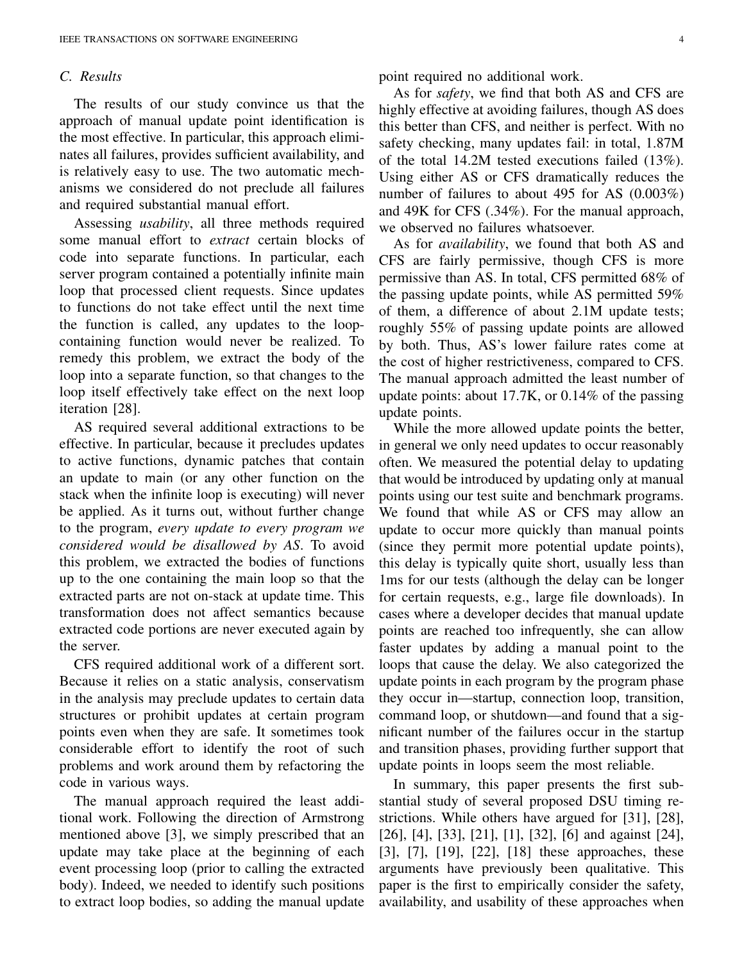# *C. Results*

The results of our study convince us that the approach of manual update point identification is the most effective. In particular, this approach eliminates all failures, provides sufficient availability, and is relatively easy to use. The two automatic mechanisms we considered do not preclude all failures and required substantial manual effort.

Assessing *usability*, all three methods required some manual effort to *extract* certain blocks of code into separate functions. In particular, each server program contained a potentially infinite main loop that processed client requests. Since updates to functions do not take effect until the next time the function is called, any updates to the loopcontaining function would never be realized. To remedy this problem, we extract the body of the loop into a separate function, so that changes to the loop itself effectively take effect on the next loop iteration [28].

AS required several additional extractions to be effective. In particular, because it precludes updates to active functions, dynamic patches that contain an update to main (or any other function on the stack when the infinite loop is executing) will never be applied. As it turns out, without further change to the program, *every update to every program we considered would be disallowed by AS*. To avoid this problem, we extracted the bodies of functions up to the one containing the main loop so that the extracted parts are not on-stack at update time. This transformation does not affect semantics because extracted code portions are never executed again by the server.

CFS required additional work of a different sort. Because it relies on a static analysis, conservatism in the analysis may preclude updates to certain data structures or prohibit updates at certain program points even when they are safe. It sometimes took considerable effort to identify the root of such problems and work around them by refactoring the code in various ways.

The manual approach required the least additional work. Following the direction of Armstrong mentioned above [3], we simply prescribed that an update may take place at the beginning of each event processing loop (prior to calling the extracted body). Indeed, we needed to identify such positions to extract loop bodies, so adding the manual update

point required no additional work.

As for *safety*, we find that both AS and CFS are highly effective at avoiding failures, though AS does this better than CFS, and neither is perfect. With no safety checking, many updates fail: in total, 1.87M of the total 14.2M tested executions failed (13%). Using either AS or CFS dramatically reduces the number of failures to about 495 for AS (0.003%) and 49K for CFS (.34%). For the manual approach, we observed no failures whatsoever.

As for *availability*, we found that both AS and CFS are fairly permissive, though CFS is more permissive than AS. In total, CFS permitted 68% of the passing update points, while AS permitted 59% of them, a difference of about 2.1M update tests; roughly 55% of passing update points are allowed by both. Thus, AS's lower failure rates come at the cost of higher restrictiveness, compared to CFS. The manual approach admitted the least number of update points: about 17.7K, or 0.14% of the passing update points.

While the more allowed update points the better, in general we only need updates to occur reasonably often. We measured the potential delay to updating that would be introduced by updating only at manual points using our test suite and benchmark programs. We found that while AS or CFS may allow an update to occur more quickly than manual points (since they permit more potential update points), this delay is typically quite short, usually less than 1ms for our tests (although the delay can be longer for certain requests, e.g., large file downloads). In cases where a developer decides that manual update points are reached too infrequently, she can allow faster updates by adding a manual point to the loops that cause the delay. We also categorized the update points in each program by the program phase they occur in—startup, connection loop, transition, command loop, or shutdown—and found that a significant number of the failures occur in the startup and transition phases, providing further support that update points in loops seem the most reliable.

In summary, this paper presents the first substantial study of several proposed DSU timing restrictions. While others have argued for [31], [28], [26], [4], [33], [21], [1], [32], [6] and against [24], [3], [7], [19], [22], [18] these approaches, these arguments have previously been qualitative. This paper is the first to empirically consider the safety, availability, and usability of these approaches when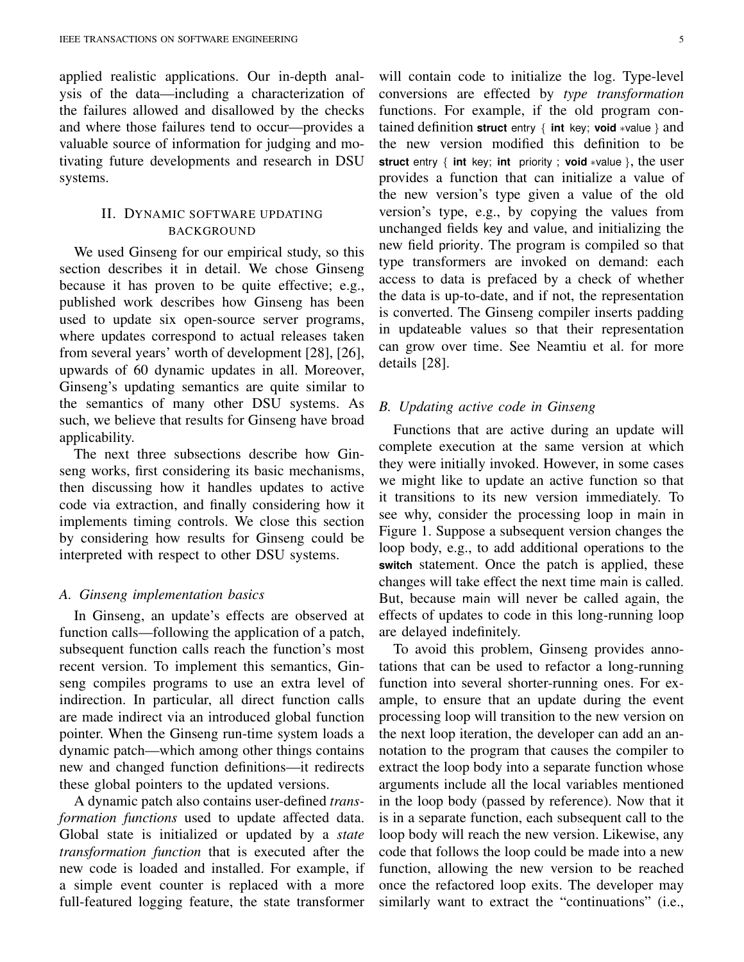applied realistic applications. Our in-depth analysis of the data—including a characterization of the failures allowed and disallowed by the checks and where those failures tend to occur—provides a valuable source of information for judging and motivating future developments and research in DSU systems.

# II. DYNAMIC SOFTWARE UPDATING **BACKGROUND**

We used Ginseng for our empirical study, so this section describes it in detail. We chose Ginseng because it has proven to be quite effective; e.g., published work describes how Ginseng has been used to update six open-source server programs, where updates correspond to actual releases taken from several years' worth of development [28], [26], upwards of 60 dynamic updates in all. Moreover, Ginseng's updating semantics are quite similar to the semantics of many other DSU systems. As such, we believe that results for Ginseng have broad applicability.

The next three subsections describe how Ginseng works, first considering its basic mechanisms, then discussing how it handles updates to active code via extraction, and finally considering how it implements timing controls. We close this section by considering how results for Ginseng could be interpreted with respect to other DSU systems.

## *A. Ginseng implementation basics*

In Ginseng, an update's effects are observed at function calls—following the application of a patch, subsequent function calls reach the function's most recent version. To implement this semantics, Ginseng compiles programs to use an extra level of indirection. In particular, all direct function calls are made indirect via an introduced global function pointer. When the Ginseng run-time system loads a dynamic patch—which among other things contains new and changed function definitions—it redirects these global pointers to the updated versions.

A dynamic patch also contains user-defined *transformation functions* used to update affected data. Global state is initialized or updated by a *state transformation function* that is executed after the new code is loaded and installed. For example, if a simple event counter is replaced with a more full-featured logging feature, the state transformer will contain code to initialize the log. Type-level conversions are effected by *type transformation* functions. For example, if the old program contained definition **struct** entry { **int** key; **void** ∗value } and the new version modified this definition to be **struct** entry { **int** key; **int** priority ; **void** ∗value }, the user provides a function that can initialize a value of the new version's type given a value of the old version's type, e.g., by copying the values from unchanged fields key and value, and initializing the new field priority. The program is compiled so that type transformers are invoked on demand: each access to data is prefaced by a check of whether the data is up-to-date, and if not, the representation is converted. The Ginseng compiler inserts padding in updateable values so that their representation can grow over time. See Neamtiu et al. for more details [28].

# *B. Updating active code in Ginseng*

Functions that are active during an update will complete execution at the same version at which they were initially invoked. However, in some cases we might like to update an active function so that it transitions to its new version immediately. To see why, consider the processing loop in main in Figure 1. Suppose a subsequent version changes the loop body, e.g., to add additional operations to the **switch** statement. Once the patch is applied, these changes will take effect the next time main is called. But, because main will never be called again, the effects of updates to code in this long-running loop are delayed indefinitely.

To avoid this problem, Ginseng provides annotations that can be used to refactor a long-running function into several shorter-running ones. For example, to ensure that an update during the event processing loop will transition to the new version on the next loop iteration, the developer can add an annotation to the program that causes the compiler to extract the loop body into a separate function whose arguments include all the local variables mentioned in the loop body (passed by reference). Now that it is in a separate function, each subsequent call to the loop body will reach the new version. Likewise, any code that follows the loop could be made into a new function, allowing the new version to be reached once the refactored loop exits. The developer may similarly want to extract the "continuations" (i.e.,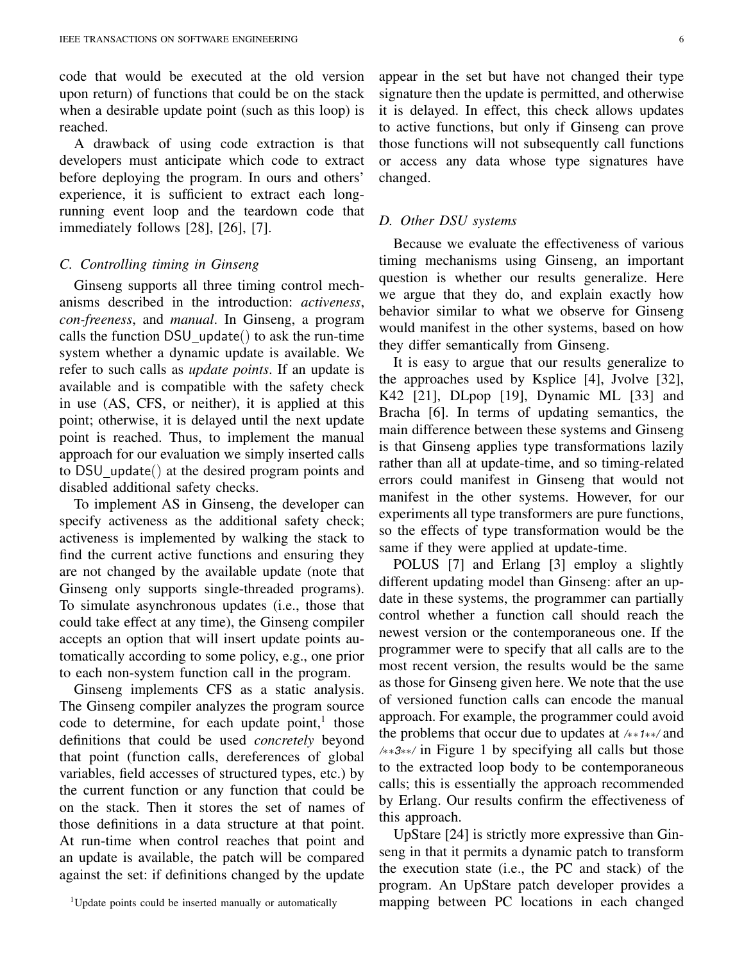code that would be executed at the old version upon return) of functions that could be on the stack when a desirable update point (such as this loop) is reached.

A drawback of using code extraction is that developers must anticipate which code to extract before deploying the program. In ours and others' experience, it is sufficient to extract each longrunning event loop and the teardown code that immediately follows [28], [26], [7].

## *C. Controlling timing in Ginseng*

Ginseng supports all three timing control mechanisms described in the introduction: *activeness*, *con-freeness*, and *manual*. In Ginseng, a program calls the function  $DSU_{\text{update}}()$  to ask the run-time system whether a dynamic update is available. We refer to such calls as *update points*. If an update is available and is compatible with the safety check in use (AS, CFS, or neither), it is applied at this point; otherwise, it is delayed until the next update point is reached. Thus, to implement the manual approach for our evaluation we simply inserted calls to DSU\_update() at the desired program points and disabled additional safety checks.

To implement AS in Ginseng, the developer can specify activeness as the additional safety check; activeness is implemented by walking the stack to find the current active functions and ensuring they are not changed by the available update (note that Ginseng only supports single-threaded programs). To simulate asynchronous updates (i.e., those that could take effect at any time), the Ginseng compiler accepts an option that will insert update points automatically according to some policy, e.g., one prior to each non-system function call in the program.

Ginseng implements CFS as a static analysis. The Ginseng compiler analyzes the program source code to determine, for each update point, $1$  those definitions that could be used *concretely* beyond that point (function calls, dereferences of global variables, field accesses of structured types, etc.) by the current function or any function that could be on the stack. Then it stores the set of names of those definitions in a data structure at that point. At run-time when control reaches that point and an update is available, the patch will be compared against the set: if definitions changed by the update

<sup>1</sup>Update points could be inserted manually or automatically

appear in the set but have not changed their type signature then the update is permitted, and otherwise it is delayed. In effect, this check allows updates to active functions, but only if Ginseng can prove those functions will not subsequently call functions or access any data whose type signatures have changed.

# *D. Other DSU systems*

Because we evaluate the effectiveness of various timing mechanisms using Ginseng, an important question is whether our results generalize. Here we argue that they do, and explain exactly how behavior similar to what we observe for Ginseng would manifest in the other systems, based on how they differ semantically from Ginseng.

It is easy to argue that our results generalize to the approaches used by Ksplice [4], Jvolve [32], K42 [21], DLpop [19], Dynamic ML [33] and Bracha [6]. In terms of updating semantics, the main difference between these systems and Ginseng is that Ginseng applies type transformations lazily rather than all at update-time, and so timing-related errors could manifest in Ginseng that would not manifest in the other systems. However, for our experiments all type transformers are pure functions, so the effects of type transformation would be the same if they were applied at update-time.

POLUS [7] and Erlang [3] employ a slightly different updating model than Ginseng: after an update in these systems, the programmer can partially control whether a function call should reach the newest version or the contemporaneous one. If the programmer were to specify that all calls are to the most recent version, the results would be the same as those for Ginseng given here. We note that the use of versioned function calls can encode the manual approach. For example, the programmer could avoid the problems that occur due to updates at */*∗∗*1*∗∗*/* and */*∗∗*3*∗∗*/* in Figure 1 by specifying all calls but those to the extracted loop body to be contemporaneous calls; this is essentially the approach recommended by Erlang. Our results confirm the effectiveness of this approach.

UpStare [24] is strictly more expressive than Ginseng in that it permits a dynamic patch to transform the execution state (i.e., the PC and stack) of the program. An UpStare patch developer provides a mapping between PC locations in each changed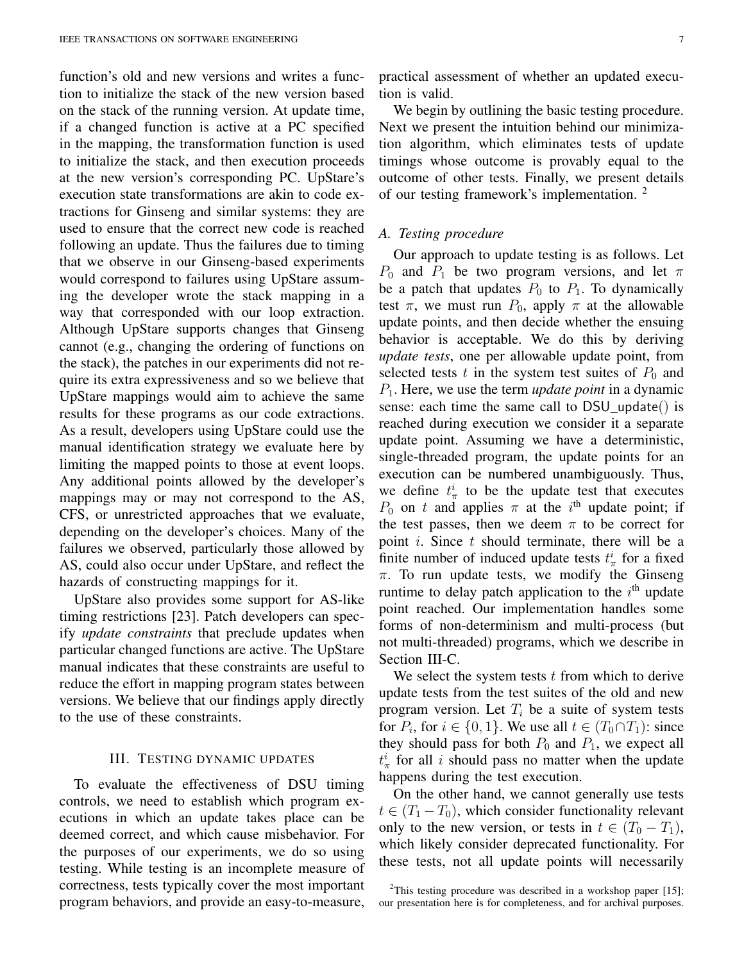function's old and new versions and writes a function to initialize the stack of the new version based on the stack of the running version. At update time, if a changed function is active at a PC specified in the mapping, the transformation function is used to initialize the stack, and then execution proceeds at the new version's corresponding PC. UpStare's execution state transformations are akin to code extractions for Ginseng and similar systems: they are used to ensure that the correct new code is reached following an update. Thus the failures due to timing that we observe in our Ginseng-based experiments would correspond to failures using UpStare assuming the developer wrote the stack mapping in a way that corresponded with our loop extraction. Although UpStare supports changes that Ginseng cannot (e.g., changing the ordering of functions on the stack), the patches in our experiments did not require its extra expressiveness and so we believe that UpStare mappings would aim to achieve the same results for these programs as our code extractions. As a result, developers using UpStare could use the manual identification strategy we evaluate here by limiting the mapped points to those at event loops. Any additional points allowed by the developer's mappings may or may not correspond to the AS, CFS, or unrestricted approaches that we evaluate, depending on the developer's choices. Many of the failures we observed, particularly those allowed by AS, could also occur under UpStare, and reflect the hazards of constructing mappings for it.

UpStare also provides some support for AS-like timing restrictions [23]. Patch developers can specify *update constraints* that preclude updates when particular changed functions are active. The UpStare manual indicates that these constraints are useful to reduce the effort in mapping program states between versions. We believe that our findings apply directly to the use of these constraints.

#### III. TESTING DYNAMIC UPDATES

To evaluate the effectiveness of DSU timing controls, we need to establish which program executions in which an update takes place can be deemed correct, and which cause misbehavior. For the purposes of our experiments, we do so using testing. While testing is an incomplete measure of correctness, tests typically cover the most important program behaviors, and provide an easy-to-measure, practical assessment of whether an updated execution is valid.

We begin by outlining the basic testing procedure. Next we present the intuition behind our minimization algorithm, which eliminates tests of update timings whose outcome is provably equal to the outcome of other tests. Finally, we present details of our testing framework's implementation. <sup>2</sup>

#### *A. Testing procedure*

Our approach to update testing is as follows. Let  $P_0$  and  $P_1$  be two program versions, and let  $\pi$ be a patch that updates  $P_0$  to  $P_1$ . To dynamically test  $\pi$ , we must run  $P_0$ , apply  $\pi$  at the allowable update points, and then decide whether the ensuing behavior is acceptable. We do this by deriving *update tests*, one per allowable update point, from selected tests  $t$  in the system test suites of  $P_0$  and P1. Here, we use the term *update point* in a dynamic sense: each time the same call to DSU\_update() is reached during execution we consider it a separate update point. Assuming we have a deterministic, single-threaded program, the update points for an execution can be numbered unambiguously. Thus, we define  $t^i_\pi$  to be the update test that executes  $P_0$  on t and applies  $\pi$  at the i<sup>th</sup> update point; if the test passes, then we deem  $\pi$  to be correct for point *i*. Since  $t$  should terminate, there will be a finite number of induced update tests  $t^i_\pi$  for a fixed  $\pi$ . To run update tests, we modify the Ginseng runtime to delay patch application to the  $i<sup>th</sup>$  update point reached. Our implementation handles some forms of non-determinism and multi-process (but not multi-threaded) programs, which we describe in Section III-C.

We select the system tests  $t$  from which to derive update tests from the test suites of the old and new program version. Let  $T_i$  be a suite of system tests for  $P_i$ , for  $i \in \{0, 1\}$ . We use all  $t \in (T_0 \cap T_1)$ : since they should pass for both  $P_0$  and  $P_1$ , we expect all  $t^i_\pi$  for all i should pass no matter when the update happens during the test execution.

On the other hand, we cannot generally use tests  $t \in (T_1 - T_0)$ , which consider functionality relevant only to the new version, or tests in  $t \in (T_0 - T_1)$ , which likely consider deprecated functionality. For these tests, not all update points will necessarily

<sup>&</sup>lt;sup>2</sup>This testing procedure was described in a workshop paper [15]; our presentation here is for completeness, and for archival purposes.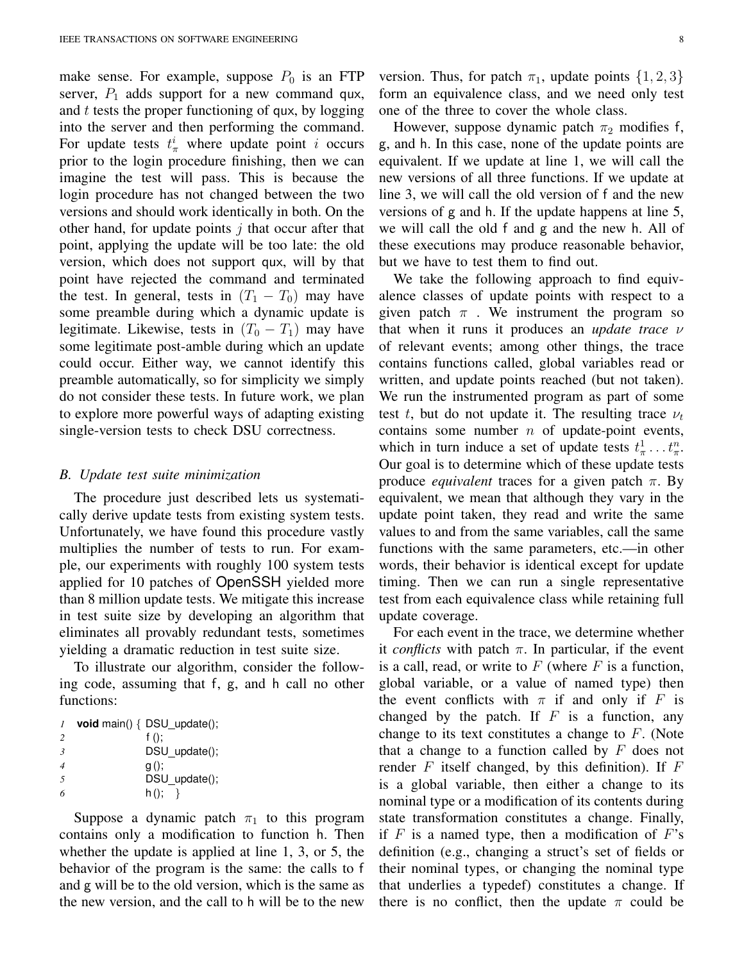make sense. For example, suppose  $P_0$  is an FTP server,  $P_1$  adds support for a new command qux, and  $t$  tests the proper functioning of qux, by logging into the server and then performing the command. For update tests  $t^i_\pi$  where update point i occurs prior to the login procedure finishing, then we can imagine the test will pass. This is because the login procedure has not changed between the two versions and should work identically in both. On the other hand, for update points  $i$  that occur after that point, applying the update will be too late: the old version, which does not support qux, will by that point have rejected the command and terminated the test. In general, tests in  $(T_1 - T_0)$  may have some preamble during which a dynamic update is legitimate. Likewise, tests in  $(T_0 - T_1)$  may have some legitimate post-amble during which an update could occur. Either way, we cannot identify this preamble automatically, so for simplicity we simply do not consider these tests. In future work, we plan to explore more powerful ways of adapting existing single-version tests to check DSU correctness.

## *B. Update test suite minimization*

The procedure just described lets us systematically derive update tests from existing system tests. Unfortunately, we have found this procedure vastly multiplies the number of tests to run. For example, our experiments with roughly 100 system tests applied for 10 patches of OpenSSH yielded more than 8 million update tests. We mitigate this increase in test suite size by developing an algorithm that eliminates all provably redundant tests, sometimes yielding a dramatic reduction in test suite size.

To illustrate our algorithm, consider the following code, assuming that f, g, and h call no other functions:

|                | <b>void</b> main() $\{$ DSU_update(); |
|----------------|---------------------------------------|
| 2              | f $()$ :                              |
| $\mathcal{R}$  | DSU_update();                         |
| $\overline{4}$ | $g()$ ;                               |
| $\sqrt{2}$     | DSU_update();                         |
| 6              | $h()$ ;                               |

Suppose a dynamic patch  $\pi_1$  to this program contains only a modification to function h. Then whether the update is applied at line 1, 3, or 5, the behavior of the program is the same: the calls to f and g will be to the old version, which is the same as the new version, and the call to h will be to the new

version. Thus, for patch  $\pi_1$ , update points  $\{1, 2, 3\}$ form an equivalence class, and we need only test one of the three to cover the whole class.

However, suppose dynamic patch  $\pi_2$  modifies f, g, and h. In this case, none of the update points are equivalent. If we update at line 1, we will call the new versions of all three functions. If we update at line 3, we will call the old version of f and the new versions of g and h. If the update happens at line 5, we will call the old f and g and the new h. All of these executions may produce reasonable behavior, but we have to test them to find out.

We take the following approach to find equivalence classes of update points with respect to a given patch  $\pi$ . We instrument the program so that when it runs it produces an *update trace* ν of relevant events; among other things, the trace contains functions called, global variables read or written, and update points reached (but not taken). We run the instrumented program as part of some test t, but do not update it. The resulting trace  $\nu_t$ contains some number  $n$  of update-point events, which in turn induce a set of update tests  $t^1_\pi \dots t^n_\pi$ . Our goal is to determine which of these update tests produce *equivalent* traces for a given patch  $\pi$ . By equivalent, we mean that although they vary in the update point taken, they read and write the same values to and from the same variables, call the same functions with the same parameters, etc.—in other words, their behavior is identical except for update timing. Then we can run a single representative test from each equivalence class while retaining full update coverage.

For each event in the trace, we determine whether it *conflicts* with patch  $\pi$ . In particular, if the event is a call, read, or write to  $F$  (where  $F$  is a function, global variable, or a value of named type) then the event conflicts with  $\pi$  if and only if F is changed by the patch. If  $F$  is a function, any change to its text constitutes a change to  $F$ . (Note that a change to a function called by  $F$  does not render  $F$  itself changed, by this definition). If  $F$ is a global variable, then either a change to its nominal type or a modification of its contents during state transformation constitutes a change. Finally, if  $F$  is a named type, then a modification of  $F$ 's definition (e.g., changing a struct's set of fields or their nominal types, or changing the nominal type that underlies a typedef) constitutes a change. If there is no conflict, then the update  $\pi$  could be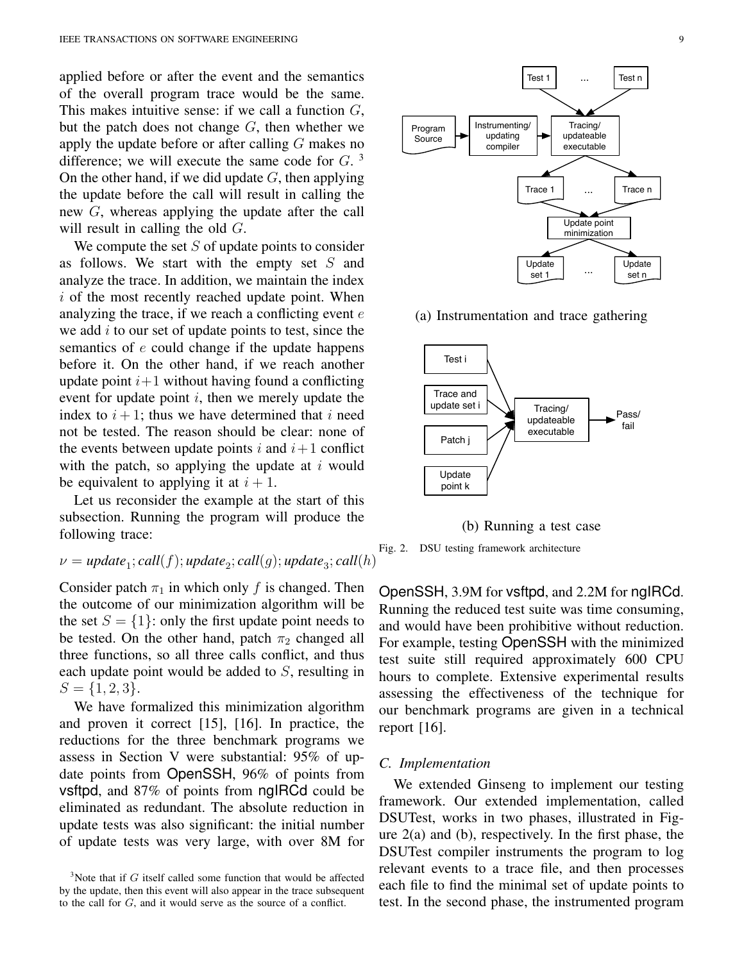applied before or after the event and the semantics of the overall program trace would be the same. This makes intuitive sense: if we call a function  $G$ , but the patch does not change  $G$ , then whether we apply the update before or after calling G makes no difference; we will execute the same code for  $G<sup>3</sup>$ . On the other hand, if we did update  $G$ , then applying the update before the call will result in calling the new G, whereas applying the update after the call will result in calling the old  $G$ .

We compute the set  $S$  of update points to consider as follows. We start with the empty set  $S$  and analyze the trace. In addition, we maintain the index  $i$  of the most recently reached update point. When analyzing the trace, if we reach a conflicting event  $e$ we add  $i$  to our set of update points to test, since the semantics of e could change if the update happens before it. On the other hand, if we reach another update point  $i+1$  without having found a conflicting event for update point  $i$ , then we merely update the index to  $i + 1$ ; thus we have determined that i need not be tested. The reason should be clear: none of the events between update points i and  $i+1$  conflict with the patch, so applying the update at  $i$  would be equivalent to applying it at  $i + 1$ .

Let us reconsider the example at the start of this subsection. Running the program will produce the following trace:

# $\nu = update_1; call(f); update_2; call(g); update_3; call(h)$

Consider patch  $\pi_1$  in which only f is changed. Then the outcome of our minimization algorithm will be the set  $S = \{1\}$ : only the first update point needs to be tested. On the other hand, patch  $\pi_2$  changed all three functions, so all three calls conflict, and thus each update point would be added to S, resulting in  $S = \{1, 2, 3\}.$ 

We have formalized this minimization algorithm and proven it correct [15], [16]. In practice, the reductions for the three benchmark programs we assess in Section V were substantial: 95% of update points from OpenSSH, 96% of points from vsftpd, and 87% of points from ngIRCd could be eliminated as redundant. The absolute reduction in update tests was also significant: the initial number of update tests was very large, with over 8M for



(a) Instrumentation and trace gathering



(b) Running a test case

Fig. 2. DSU testing framework architecture

OpenSSH, 3.9M for vsftpd, and 2.2M for ngIRCd. Running the reduced test suite was time consuming, and would have been prohibitive without reduction. For example, testing OpenSSH with the minimized test suite still required approximately 600 CPU hours to complete. Extensive experimental results assessing the effectiveness of the technique for our benchmark programs are given in a technical report [16].

# *C. Implementation*

We extended Ginseng to implement our testing framework. Our extended implementation, called DSUTest, works in two phases, illustrated in Figure 2(a) and (b), respectively. In the first phase, the DSUTest compiler instruments the program to log relevant events to a trace file, and then processes each file to find the minimal set of update points to test. In the second phase, the instrumented program

 $3$ Note that if G itself called some function that would be affected by the update, then this event will also appear in the trace subsequent to the call for G, and it would serve as the source of a conflict.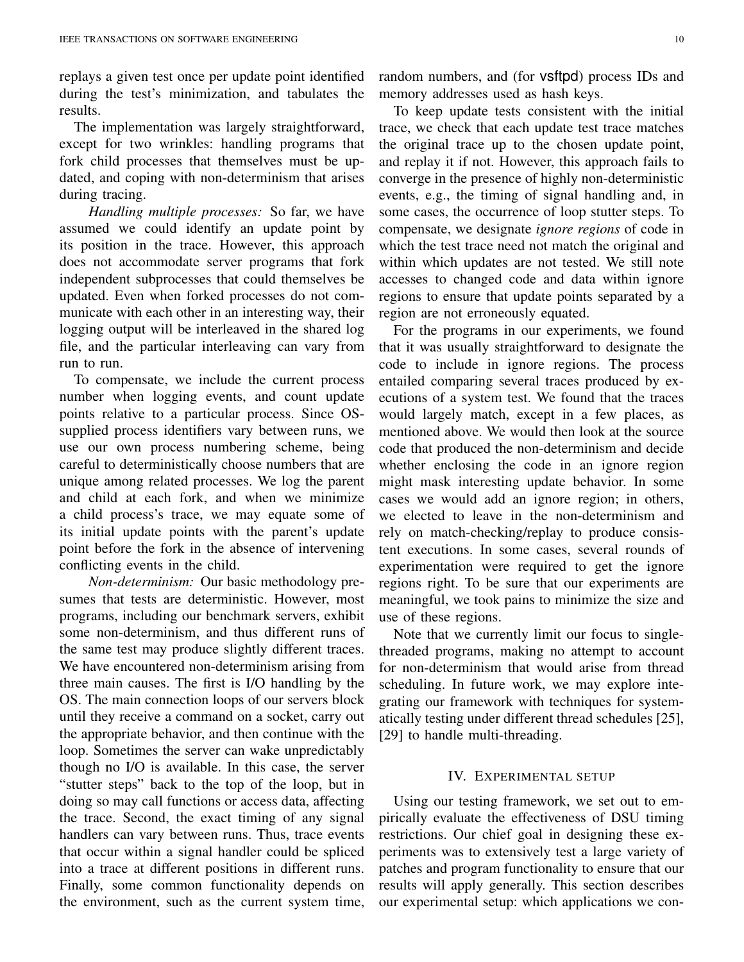replays a given test once per update point identified during the test's minimization, and tabulates the results.

The implementation was largely straightforward, except for two wrinkles: handling programs that fork child processes that themselves must be updated, and coping with non-determinism that arises during tracing.

*Handling multiple processes:* So far, we have assumed we could identify an update point by its position in the trace. However, this approach does not accommodate server programs that fork independent subprocesses that could themselves be updated. Even when forked processes do not communicate with each other in an interesting way, their logging output will be interleaved in the shared log file, and the particular interleaving can vary from run to run.

To compensate, we include the current process number when logging events, and count update points relative to a particular process. Since OSsupplied process identifiers vary between runs, we use our own process numbering scheme, being careful to deterministically choose numbers that are unique among related processes. We log the parent and child at each fork, and when we minimize a child process's trace, we may equate some of its initial update points with the parent's update point before the fork in the absence of intervening conflicting events in the child.

*Non-determinism:* Our basic methodology presumes that tests are deterministic. However, most programs, including our benchmark servers, exhibit some non-determinism, and thus different runs of the same test may produce slightly different traces. We have encountered non-determinism arising from three main causes. The first is I/O handling by the OS. The main connection loops of our servers block until they receive a command on a socket, carry out the appropriate behavior, and then continue with the loop. Sometimes the server can wake unpredictably though no I/O is available. In this case, the server "stutter steps" back to the top of the loop, but in doing so may call functions or access data, affecting the trace. Second, the exact timing of any signal handlers can vary between runs. Thus, trace events that occur within a signal handler could be spliced into a trace at different positions in different runs. Finally, some common functionality depends on the environment, such as the current system time,

random numbers, and (for vsftpd) process IDs and memory addresses used as hash keys.

To keep update tests consistent with the initial trace, we check that each update test trace matches the original trace up to the chosen update point, and replay it if not. However, this approach fails to converge in the presence of highly non-deterministic events, e.g., the timing of signal handling and, in some cases, the occurrence of loop stutter steps. To compensate, we designate *ignore regions* of code in which the test trace need not match the original and within which updates are not tested. We still note accesses to changed code and data within ignore regions to ensure that update points separated by a region are not erroneously equated.

For the programs in our experiments, we found that it was usually straightforward to designate the code to include in ignore regions. The process entailed comparing several traces produced by executions of a system test. We found that the traces would largely match, except in a few places, as mentioned above. We would then look at the source code that produced the non-determinism and decide whether enclosing the code in an ignore region might mask interesting update behavior. In some cases we would add an ignore region; in others, we elected to leave in the non-determinism and rely on match-checking/replay to produce consistent executions. In some cases, several rounds of experimentation were required to get the ignore regions right. To be sure that our experiments are meaningful, we took pains to minimize the size and use of these regions.

Note that we currently limit our focus to singlethreaded programs, making no attempt to account for non-determinism that would arise from thread scheduling. In future work, we may explore integrating our framework with techniques for systematically testing under different thread schedules [25], [29] to handle multi-threading.

# IV. EXPERIMENTAL SETUP

Using our testing framework, we set out to empirically evaluate the effectiveness of DSU timing restrictions. Our chief goal in designing these experiments was to extensively test a large variety of patches and program functionality to ensure that our results will apply generally. This section describes our experimental setup: which applications we con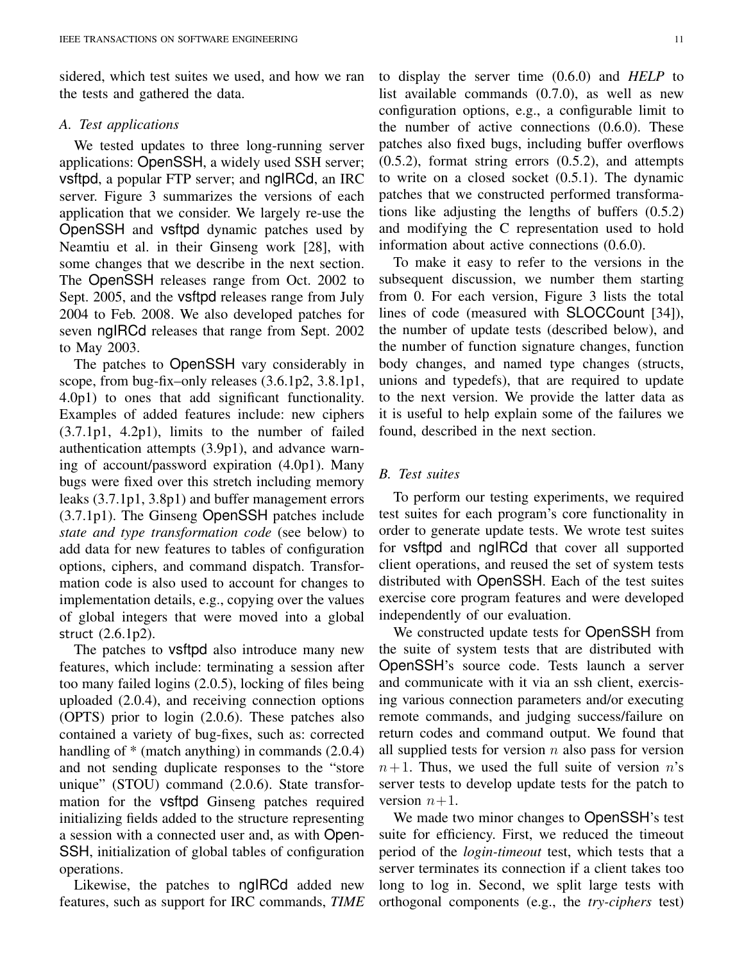sidered, which test suites we used, and how we ran the tests and gathered the data.

#### *A. Test applications*

We tested updates to three long-running server applications: OpenSSH, a widely used SSH server; vsftpd, a popular FTP server; and ngIRCd, an IRC server. Figure 3 summarizes the versions of each application that we consider. We largely re-use the OpenSSH and vsftpd dynamic patches used by Neamtiu et al. in their Ginseng work [28], with some changes that we describe in the next section. The OpenSSH releases range from Oct. 2002 to Sept. 2005, and the vsftpd releases range from July 2004 to Feb. 2008. We also developed patches for seven ngIRCd releases that range from Sept. 2002 to May 2003.

The patches to OpenSSH vary considerably in scope, from bug-fix–only releases (3.6.1p2, 3.8.1p1, 4.0p1) to ones that add significant functionality. Examples of added features include: new ciphers (3.7.1p1, 4.2p1), limits to the number of failed authentication attempts (3.9p1), and advance warning of account/password expiration (4.0p1). Many bugs were fixed over this stretch including memory leaks (3.7.1p1, 3.8p1) and buffer management errors (3.7.1p1). The Ginseng OpenSSH patches include *state and type transformation code* (see below) to add data for new features to tables of configuration options, ciphers, and command dispatch. Transformation code is also used to account for changes to implementation details, e.g., copying over the values of global integers that were moved into a global struct (2.6.1p2).

The patches to vsftpd also introduce many new features, which include: terminating a session after too many failed logins (2.0.5), locking of files being uploaded (2.0.4), and receiving connection options (OPTS) prior to login (2.0.6). These patches also contained a variety of bug-fixes, such as: corrected handling of  $*$  (match anything) in commands (2.0.4) and not sending duplicate responses to the "store unique" (STOU) command (2.0.6). State transformation for the vsftpd Ginseng patches required initializing fields added to the structure representing a session with a connected user and, as with Open-SSH, initialization of global tables of configuration operations.

Likewise, the patches to ngIRCd added new features, such as support for IRC commands, *TIME* to display the server time (0.6.0) and *HELP* to list available commands (0.7.0), as well as new configuration options, e.g., a configurable limit to the number of active connections (0.6.0). These patches also fixed bugs, including buffer overflows (0.5.2), format string errors (0.5.2), and attempts to write on a closed socket (0.5.1). The dynamic patches that we constructed performed transformations like adjusting the lengths of buffers (0.5.2) and modifying the C representation used to hold information about active connections (0.6.0).

To make it easy to refer to the versions in the subsequent discussion, we number them starting from 0. For each version, Figure 3 lists the total lines of code (measured with SLOCCount [34]), the number of update tests (described below), and the number of function signature changes, function body changes, and named type changes (structs, unions and typedefs), that are required to update to the next version. We provide the latter data as it is useful to help explain some of the failures we found, described in the next section.

# *B. Test suites*

To perform our testing experiments, we required test suites for each program's core functionality in order to generate update tests. We wrote test suites for vsftpd and ngIRCd that cover all supported client operations, and reused the set of system tests distributed with OpenSSH. Each of the test suites exercise core program features and were developed independently of our evaluation.

We constructed update tests for OpenSSH from the suite of system tests that are distributed with OpenSSH's source code. Tests launch a server and communicate with it via an ssh client, exercising various connection parameters and/or executing remote commands, and judging success/failure on return codes and command output. We found that all supplied tests for version  $n$  also pass for version  $n+1$ . Thus, we used the full suite of version n's server tests to develop update tests for the patch to version  $n+1$ .

We made two minor changes to OpenSSH's test suite for efficiency. First, we reduced the timeout period of the *login-timeout* test, which tests that a server terminates its connection if a client takes too long to log in. Second, we split large tests with orthogonal components (e.g., the *try-ciphers* test)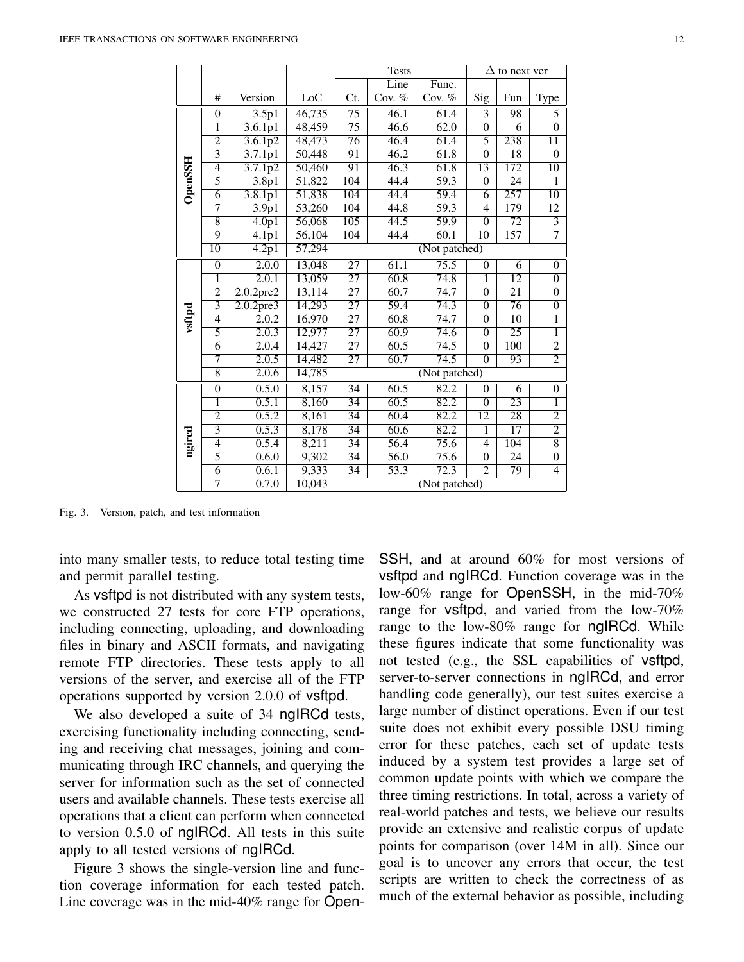|         |                 |                     |        | <b>Tests</b>     |                   |                   | $\Delta$ to next ver |                  |                  |  |  |  |
|---------|-----------------|---------------------|--------|------------------|-------------------|-------------------|----------------------|------------------|------------------|--|--|--|
|         |                 |                     |        |                  | Line              | Func.             |                      |                  |                  |  |  |  |
|         | #               | Version             | LoC    | Ct.              | Cov. %            | Cov. %            | Sig                  | Fun              | Type             |  |  |  |
|         | $\overline{0}$  | $\overline{3.5}$ p1 | 46,735 | $\overline{75}$  | 46.1              | 61.4              | 3                    | 98               | 5                |  |  |  |
|         | 1               | 3.6.1p1             | 48,459 | $\overline{75}$  | 46.6              | 62.0              | $\overline{0}$       | $\overline{6}$   | $\overline{0}$   |  |  |  |
|         | $\overline{2}$  | 3.6.1p2             | 48,473 | 76               | 46.4              | 61.4              | 5                    | 238              | $\overline{11}$  |  |  |  |
| OpenSSH | $\overline{3}$  | 3.7.1p1             | 50,448 | 91               | 46.2              | 61.8              | $\overline{0}$       | $\overline{18}$  | $\overline{0}$   |  |  |  |
|         | $\overline{4}$  | 3.7.1p2             | 50,460 | 91               | 46.3              | 61.8              | $\overline{13}$      | 172              | $\overline{10}$  |  |  |  |
|         | $\overline{5}$  | 3.8p1               | 51,822 | 104              | 44.4              | $\overline{59.3}$ | $\overline{0}$       | $\overline{24}$  | 1                |  |  |  |
|         | $\overline{6}$  | 3.8.1p1             | 51,838 | 104              | 44.4              | 59.4              | $\overline{6}$       | $\overline{257}$ | $\overline{10}$  |  |  |  |
|         | 7               | 3.9p1               | 53,260 | 104              | 44.8              | 59.3              | $\overline{4}$       | 179              | 12               |  |  |  |
|         | $\overline{8}$  | 4.0p1               | 56,068 | $\overline{105}$ | 44.5              | $\overline{59.9}$ | $\overline{0}$       | 72               | $\overline{3}$   |  |  |  |
|         | $\overline{9}$  | $\overline{4.1p1}$  | 56,104 | 104              | 44.4              | 60.1              | 10                   | 157              | $\overline{7}$   |  |  |  |
|         | $\overline{10}$ | $\overline{4.2p1}$  | 57,294 |                  | (Not patched)     |                   |                      |                  |                  |  |  |  |
| vsftpd  | $\overline{0}$  | $\overline{2.0.0}$  | 13,048 | $\overline{27}$  | $\overline{61.1}$ | 75.5              | $\overline{0}$       | 6                | $\overline{0}$   |  |  |  |
|         | $\overline{1}$  | 2.0.1               | 13,059 | $\overline{27}$  | 60.8              | 74.8              | $\overline{1}$       | $\overline{12}$  | $\overline{0}$   |  |  |  |
|         | $\overline{2}$  | $2.0.2$ pre $2$     | 13,114 | $\overline{27}$  | 60.7              | 74.7              | $\overline{0}$       | 21               | $\overline{0}$   |  |  |  |
|         | $\overline{3}$  | $2.0.2$ pre3        | 14,293 | $\overline{27}$  | 59.4              | 74.3              | $\overline{0}$       | 76               | $\overline{0}$   |  |  |  |
|         | $\overline{4}$  | 2.0.2               | 16,970 | $\overline{27}$  | 60.8              | 74.7              | $\overline{0}$       | 10               | $\overline{1}$   |  |  |  |
|         | $\overline{5}$  | 2.0.3               | 12,977 | $\overline{27}$  | 60.9              | 74.6              | $\overline{0}$       | $\overline{25}$  | $\overline{1}$   |  |  |  |
|         | $\overline{6}$  | 2.0.4               | 14,427 | $\overline{27}$  | 60.5              | 74.5              | $\theta$             | 100              | $\overline{2}$   |  |  |  |
|         | 7               | 2.0.5               | 14,482 | $\overline{27}$  | 60.7              | 74.5              | $\overline{0}$       | 93               | $\overline{2}$   |  |  |  |
|         | $\overline{8}$  | 2.0.6               | 14,785 | (Not patched)    |                   |                   |                      |                  |                  |  |  |  |
|         | $\overline{0}$  | 0.5.0               | 8,157  | 34               | 60.5              | 82.2              | $\theta$             | 6                | $\boldsymbol{0}$ |  |  |  |
| ngircd  | 1               | 0.5.1               | 8,160  | $\overline{34}$  | 60.5              | 82.2              | $\overline{0}$       | 23               | 1                |  |  |  |
|         | $\overline{2}$  | 0.5.2               | 8,161  | $\overline{34}$  | 60.4              | 82.2              | $\overline{12}$      | $\overline{28}$  | $\overline{2}$   |  |  |  |
|         | $\overline{3}$  | 0.5.3               | 8,178  | $\overline{34}$  | 60.6              | 82.2              | 1                    | $\overline{17}$  | $\overline{2}$   |  |  |  |
|         | $\overline{4}$  | 0.5.4               | 8,211  | $\overline{34}$  | 56.4              | 75.6              | $\overline{4}$       | 104              | $\overline{8}$   |  |  |  |
|         | $\overline{5}$  | 0.6.0               | 9,302  | $\overline{34}$  | $\overline{56.0}$ | 75.6              | $\overline{0}$       | $\overline{24}$  | $\overline{0}$   |  |  |  |
|         | $\overline{6}$  | 0.6.1               | 9,333  | $\overline{34}$  | $\overline{53.3}$ | 72.3              | $\overline{2}$       | 79               | $\overline{4}$   |  |  |  |
|         | $\overline{7}$  | 0.7.0               | 10,043 | (Not patched)    |                   |                   |                      |                  |                  |  |  |  |

Fig. 3. Version, patch, and test information

into many smaller tests, to reduce total testing time and permit parallel testing.

As vsftpd is not distributed with any system tests, we constructed 27 tests for core FTP operations, including connecting, uploading, and downloading files in binary and ASCII formats, and navigating remote FTP directories. These tests apply to all versions of the server, and exercise all of the FTP operations supported by version 2.0.0 of vsftpd.

We also developed a suite of 34 ngIRCd tests, exercising functionality including connecting, sending and receiving chat messages, joining and communicating through IRC channels, and querying the server for information such as the set of connected users and available channels. These tests exercise all operations that a client can perform when connected to version 0.5.0 of ngIRCd. All tests in this suite apply to all tested versions of ngIRCd.

Figure 3 shows the single-version line and function coverage information for each tested patch. Line coverage was in the mid-40% range for OpenSSH, and at around 60% for most versions of vsftpd and ngIRCd. Function coverage was in the low-60% range for OpenSSH, in the mid-70% range for vsftpd, and varied from the low-70% range to the low-80% range for ngIRCd. While these figures indicate that some functionality was not tested (e.g., the SSL capabilities of vsftpd, server-to-server connections in ngIRCd, and error handling code generally), our test suites exercise a large number of distinct operations. Even if our test suite does not exhibit every possible DSU timing error for these patches, each set of update tests induced by a system test provides a large set of common update points with which we compare the three timing restrictions. In total, across a variety of real-world patches and tests, we believe our results provide an extensive and realistic corpus of update points for comparison (over 14M in all). Since our goal is to uncover any errors that occur, the test scripts are written to check the correctness of as much of the external behavior as possible, including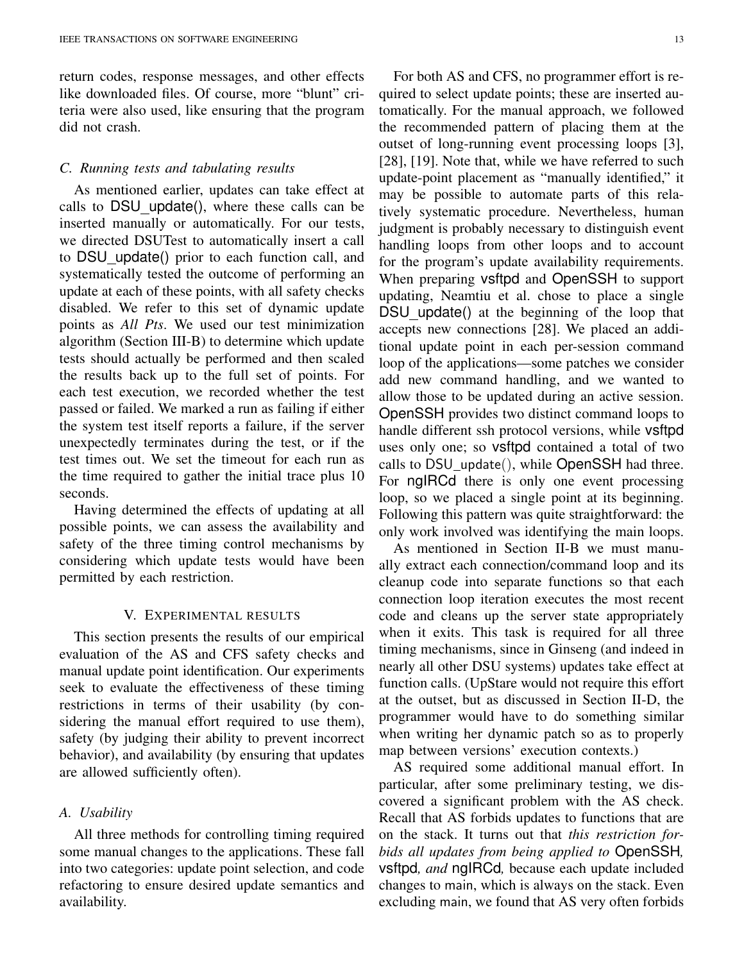return codes, response messages, and other effects like downloaded files. Of course, more "blunt" criteria were also used, like ensuring that the program did not crash.

# *C. Running tests and tabulating results*

As mentioned earlier, updates can take effect at calls to DSU update(), where these calls can be inserted manually or automatically. For our tests, we directed DSUTest to automatically insert a call to DSU update() prior to each function call, and systematically tested the outcome of performing an update at each of these points, with all safety checks disabled. We refer to this set of dynamic update points as *All Pts*. We used our test minimization algorithm (Section III-B) to determine which update tests should actually be performed and then scaled the results back up to the full set of points. For each test execution, we recorded whether the test passed or failed. We marked a run as failing if either the system test itself reports a failure, if the server unexpectedly terminates during the test, or if the test times out. We set the timeout for each run as the time required to gather the initial trace plus 10 seconds.

Having determined the effects of updating at all possible points, we can assess the availability and safety of the three timing control mechanisms by considering which update tests would have been permitted by each restriction.

# V. EXPERIMENTAL RESULTS

This section presents the results of our empirical evaluation of the AS and CFS safety checks and manual update point identification. Our experiments seek to evaluate the effectiveness of these timing restrictions in terms of their usability (by considering the manual effort required to use them), safety (by judging their ability to prevent incorrect behavior), and availability (by ensuring that updates are allowed sufficiently often).

## *A. Usability*

All three methods for controlling timing required some manual changes to the applications. These fall into two categories: update point selection, and code refactoring to ensure desired update semantics and availability.

For both AS and CFS, no programmer effort is required to select update points; these are inserted automatically. For the manual approach, we followed the recommended pattern of placing them at the outset of long-running event processing loops [3], [28], [19]. Note that, while we have referred to such update-point placement as "manually identified," it may be possible to automate parts of this relatively systematic procedure. Nevertheless, human judgment is probably necessary to distinguish event handling loops from other loops and to account for the program's update availability requirements. When preparing vsftpd and OpenSSH to support updating, Neamtiu et al. chose to place a single DSU update() at the beginning of the loop that accepts new connections [28]. We placed an additional update point in each per-session command loop of the applications—some patches we consider add new command handling, and we wanted to allow those to be updated during an active session. OpenSSH provides two distinct command loops to handle different ssh protocol versions, while vsftpd uses only one; so vsftpd contained a total of two calls to DSU update(), while OpenSSH had three. For ngIRCd there is only one event processing loop, so we placed a single point at its beginning. Following this pattern was quite straightforward: the only work involved was identifying the main loops.

As mentioned in Section II-B we must manually extract each connection/command loop and its cleanup code into separate functions so that each connection loop iteration executes the most recent code and cleans up the server state appropriately when it exits. This task is required for all three timing mechanisms, since in Ginseng (and indeed in nearly all other DSU systems) updates take effect at function calls. (UpStare would not require this effort at the outset, but as discussed in Section II-D, the programmer would have to do something similar when writing her dynamic patch so as to properly map between versions' execution contexts.)

AS required some additional manual effort. In particular, after some preliminary testing, we discovered a significant problem with the AS check. Recall that AS forbids updates to functions that are on the stack. It turns out that *this restriction forbids all updates from being applied to* OpenSSH*,* vsftpd*, and* ngIRCd*,* because each update included changes to main, which is always on the stack. Even excluding main, we found that AS very often forbids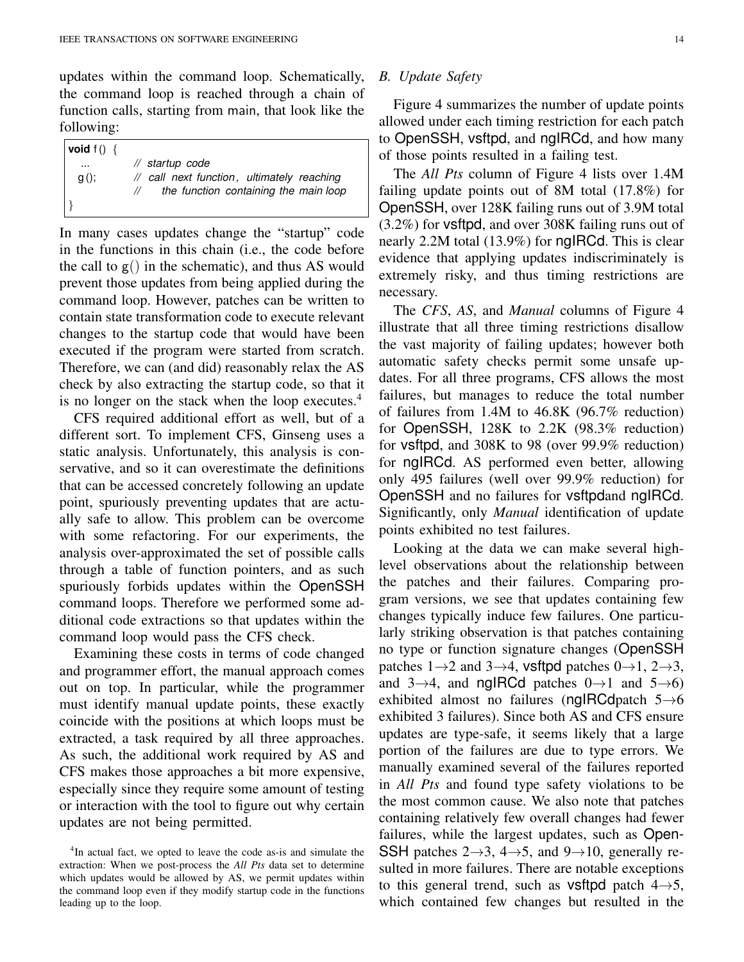updates within the command loop. Schematically, the command loop is reached through a chain of function calls, starting from main, that look like the following:

| $\vert$ void f() { |                                            |
|--------------------|--------------------------------------------|
| $\cdots$           | // startup code                            |
| $g()$ ;            | // call next function, ultimately reaching |
|                    | the function containing the main loop      |
|                    |                                            |

In many cases updates change the "startup" code in the functions in this chain (i.e., the code before the call to  $g()$  in the schematic), and thus AS would prevent those updates from being applied during the command loop. However, patches can be written to contain state transformation code to execute relevant changes to the startup code that would have been executed if the program were started from scratch. Therefore, we can (and did) reasonably relax the AS check by also extracting the startup code, so that it is no longer on the stack when the loop executes.<sup>4</sup>

CFS required additional effort as well, but of a different sort. To implement CFS, Ginseng uses a static analysis. Unfortunately, this analysis is conservative, and so it can overestimate the definitions that can be accessed concretely following an update point, spuriously preventing updates that are actually safe to allow. This problem can be overcome with some refactoring. For our experiments, the analysis over-approximated the set of possible calls through a table of function pointers, and as such spuriously forbids updates within the OpenSSH command loops. Therefore we performed some additional code extractions so that updates within the command loop would pass the CFS check.

Examining these costs in terms of code changed and programmer effort, the manual approach comes out on top. In particular, while the programmer must identify manual update points, these exactly coincide with the positions at which loops must be extracted, a task required by all three approaches. As such, the additional work required by AS and CFS makes those approaches a bit more expensive, especially since they require some amount of testing or interaction with the tool to figure out why certain updates are not being permitted.

# *B. Update Safety*

Figure 4 summarizes the number of update points allowed under each timing restriction for each patch to OpenSSH, vsftpd, and ngIRCd, and how many of those points resulted in a failing test.

The *All Pts* column of Figure 4 lists over 1.4M failing update points out of 8M total (17.8%) for OpenSSH, over 128K failing runs out of 3.9M total (3.2%) for vsftpd, and over 308K failing runs out of nearly 2.2M total (13.9%) for ngIRCd. This is clear evidence that applying updates indiscriminately is extremely risky, and thus timing restrictions are necessary.

The *CFS*, *AS*, and *Manual* columns of Figure 4 illustrate that all three timing restrictions disallow the vast majority of failing updates; however both automatic safety checks permit some unsafe updates. For all three programs, CFS allows the most failures, but manages to reduce the total number of failures from 1.4M to 46.8K (96.7% reduction) for OpenSSH, 128K to 2.2K (98.3% reduction) for vsftpd, and 308K to 98 (over 99.9% reduction) for ngIRCd. AS performed even better, allowing only 495 failures (well over 99.9% reduction) for OpenSSH and no failures for vsftpdand ngIRCd. Significantly, only *Manual* identification of update points exhibited no test failures.

Looking at the data we can make several highlevel observations about the relationship between the patches and their failures. Comparing program versions, we see that updates containing few changes typically induce few failures. One particularly striking observation is that patches containing no type or function signature changes (OpenSSH patches  $1\rightarrow 2$  and  $3\rightarrow 4$ , vsftpd patches  $0\rightarrow 1$ ,  $2\rightarrow 3$ , and 3 $\rightarrow$ 4, and ngIRCd patches 0 $\rightarrow$ 1 and 5 $\rightarrow$ 6) exhibited almost no failures (ngIRCdpatch 5→6 exhibited 3 failures). Since both AS and CFS ensure updates are type-safe, it seems likely that a large portion of the failures are due to type errors. We manually examined several of the failures reported in *All Pts* and found type safety violations to be the most common cause. We also note that patches containing relatively few overall changes had fewer failures, while the largest updates, such as Open-SSH patches  $2\rightarrow 3$ ,  $4\rightarrow 5$ , and  $9\rightarrow 10$ , generally resulted in more failures. There are notable exceptions to this general trend, such as vsftpd patch  $4\rightarrow 5$ , which contained few changes but resulted in the

<sup>&</sup>lt;sup>4</sup>In actual fact, we opted to leave the code as-is and simulate the extraction: When we post-process the *All Pts* data set to determine which updates would be allowed by AS, we permit updates within the command loop even if they modify startup code in the functions leading up to the loop.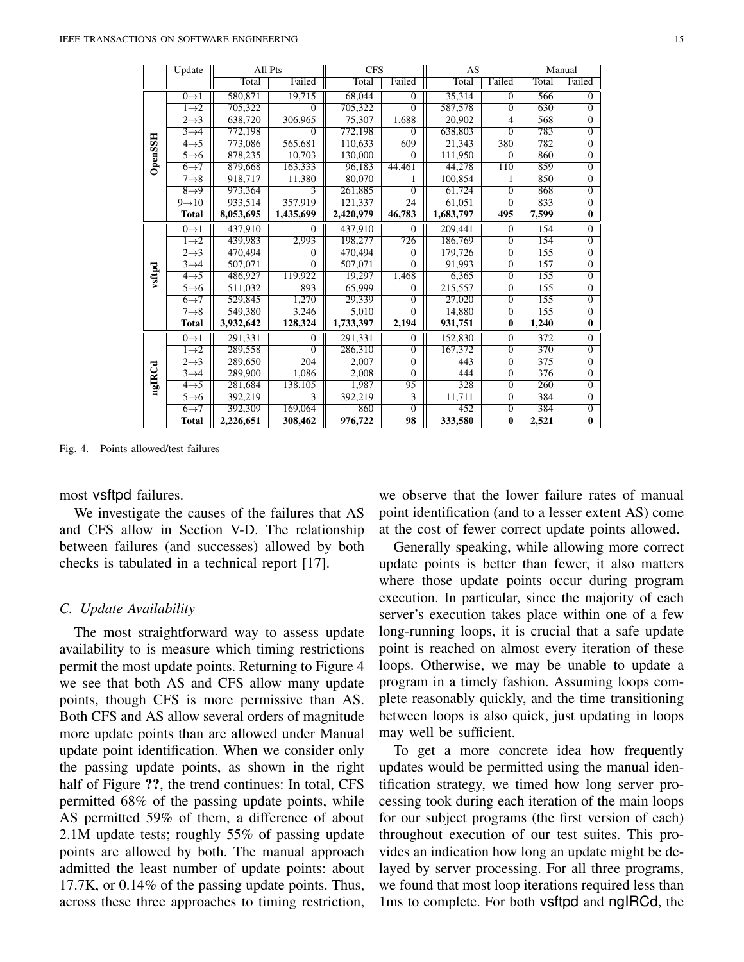|         | Update                       |           | All Pts<br><b>CFS</b> |           | AS             |           | Manual                  |              |                         |
|---------|------------------------------|-----------|-----------------------|-----------|----------------|-----------|-------------------------|--------------|-------------------------|
|         |                              | Total     | Failed                | Total     | Failed         | Total     | Failed                  | <b>Total</b> | Failed                  |
| OpenSSH | $0 \rightarrow 1$            | 580,871   | 19,715                | 68,044    | $\overline{0}$ | 35,314    | $\mathbf{0}$            | 566          | $\mathbf{0}$            |
|         | $1\rightarrow 2$             | 705,322   | $\Omega$              | 705,322   | $\overline{0}$ | 587,578   | $\overline{0}$          | 630          | $\overline{0}$          |
|         | $\overline{2\rightarrow 3}$  | 638,720   | 306,965               | 75,307    | 1,688          | 20,902    | $\overline{4}$          | 568          | $\overline{0}$          |
|         | $3\rightarrow 4$             | 772,198   | $\Omega$              | 772,198   | $\overline{0}$ | 638,803   | $\overline{0}$          | 783          | $\overline{0}$          |
|         | $4 \rightarrow 5$            | 773,086   | 565,681               | 110,633   | 609            | 21,343    | 380                     | 782          | $\overline{0}$          |
|         | $5 \rightarrow 6$            | 878,235   | 10,703                | 130,000   | $\overline{0}$ | 111,950   | $\overline{0}$          | 860          | $\overline{0}$          |
|         | $6 \rightarrow 7$            | 879,668   | 163,333               | 96,183    | 44,461         | 44,278    | 110                     | 859          | $\overline{0}$          |
|         | $7 \rightarrow 8$            | 918,717   | 11,380                | 80,070    | 1              | 100,854   | 1                       | 850          | $\overline{0}$          |
|         | $8 \rightarrow 9$            | 973,364   | 3                     | 261,885   | $\overline{0}$ | 61,724    | $\overline{0}$          | 868          | $\overline{0}$          |
|         | $9 \rightarrow 10$           | 933,514   | 357,919               | 121,337   | 24             | 61,051    | $\overline{0}$          | 833          | $\overline{0}$          |
|         | <b>Total</b>                 | 8,053,695 | 1,435,699             | 2,420,979 | 46,783         | 1,683,797 | 495                     | 7,599        | $\overline{\mathbf{0}}$ |
|         | $0\rightarrow 1$             | 437,910   | $\mathbf{0}$          | 437,910   | $\mathbf{0}$   | 209,441   | $\boldsymbol{0}$        | 154          | $\overline{0}$          |
|         | $1\rightarrow 2$             | 439,983   | 2,993                 | 198,277   | 726            | 186,769   | $\mathbf{0}$            | 154          | $\overline{0}$          |
|         | $2 \rightarrow 3$            | 470,494   | $\mathbf{0}$          | 470,494   | $\mathbf{0}$   | 179,726   | $\overline{0}$          | 155          | $\overline{0}$          |
|         | $\overline{3} \rightarrow 4$ | 507,071   | $\mathbf{0}$          | 507,071   | $\overline{0}$ | 91,993    | $\overline{0}$          | 157          | $\overline{0}$          |
| vsftpd  | $4 \rightarrow 5$            | 486,927   | 119,922               | 19,297    | 1,468          | 6,365     | $\overline{0}$          | 155          | $\overline{0}$          |
|         | $5 \rightarrow 6$            | 511,032   | 893                   | 65,999    | $\mathbf{0}$   | 215,557   | $\overline{0}$          | 155          | $\overline{0}$          |
|         | $6 \rightarrow 7$            | 529,845   | 1,270                 | 29,339    | $\overline{0}$ | 27,020    | $\overline{0}$          | 155          | $\overline{0}$          |
|         | $7 \rightarrow 8$            | 549,380   | 3,246                 | 5,010     | $\overline{0}$ | 14,880    | $\overline{0}$          | 155          | $\overline{0}$          |
|         | <b>Total</b>                 | 3,932,642 | 128,324               | 1,733,397 | 2,194          | 931,751   | $\overline{\mathbf{0}}$ | 1,240        | $\overline{\mathbf{0}}$ |
|         | $0\rightarrow 1$             | 291,331   | $\mathbf{0}$          | 291,331   | $\mathbf{0}$   | 152,830   | $\mathbf{0}$            | 372          | $\mathbf{0}$            |
| ngIRCd  | $1\rightarrow 2$             | 289,558   | $\overline{0}$        | 286,310   | $\overline{0}$ | 167,372   | $\overline{0}$          | 370          | $\overline{0}$          |
|         | $2 \rightarrow 3$            | 289,650   | 204                   | 2,007     | $\overline{0}$ | 443       | $\overline{0}$          | 375          | $\overline{0}$          |
|         | $3 \rightarrow 4$            | 289,900   | 1,086                 | 2,008     | $\overline{0}$ | 444       | $\overline{0}$          | 376          | $\overline{0}$          |
|         | $4 \rightarrow 5$            | 281,684   | 138,105               | 1,987     | 95             | 328       | $\overline{0}$          | 260          | $\overline{0}$          |
|         | $5 \rightarrow 6$            | 392,219   | 3                     | 392,219   | $\overline{3}$ | 11,711    | $\overline{0}$          | 384          | $\overline{0}$          |
|         | $6 \rightarrow 7$            | 392,309   | 169,064               | 860       | $\overline{0}$ | 452       | $\overline{0}$          | 384          | $\overline{0}$          |
|         | <b>Total</b>                 | 2,226,651 | 308,462               | 976,722   | 98             | 333,580   | $\overline{\mathbf{0}}$ | 2,521        | $\overline{\mathbf{0}}$ |

Fig. 4. Points allowed/test failures

most vsftpd failures.

We investigate the causes of the failures that AS and CFS allow in Section V-D. The relationship between failures (and successes) allowed by both checks is tabulated in a technical report [17].

# *C. Update Availability*

The most straightforward way to assess update availability to is measure which timing restrictions permit the most update points. Returning to Figure 4 we see that both AS and CFS allow many update points, though CFS is more permissive than AS. Both CFS and AS allow several orders of magnitude more update points than are allowed under Manual update point identification. When we consider only the passing update points, as shown in the right half of Figure ??, the trend continues: In total, CFS permitted 68% of the passing update points, while AS permitted 59% of them, a difference of about 2.1M update tests; roughly 55% of passing update points are allowed by both. The manual approach admitted the least number of update points: about 17.7K, or 0.14% of the passing update points. Thus, across these three approaches to timing restriction,

we observe that the lower failure rates of manual point identification (and to a lesser extent AS) come at the cost of fewer correct update points allowed.

Generally speaking, while allowing more correct update points is better than fewer, it also matters where those update points occur during program execution. In particular, since the majority of each server's execution takes place within one of a few long-running loops, it is crucial that a safe update point is reached on almost every iteration of these loops. Otherwise, we may be unable to update a program in a timely fashion. Assuming loops complete reasonably quickly, and the time transitioning between loops is also quick, just updating in loops may well be sufficient.

To get a more concrete idea how frequently updates would be permitted using the manual identification strategy, we timed how long server processing took during each iteration of the main loops for our subject programs (the first version of each) throughout execution of our test suites. This provides an indication how long an update might be delayed by server processing. For all three programs, we found that most loop iterations required less than 1ms to complete. For both vsftpd and ngIRCd, the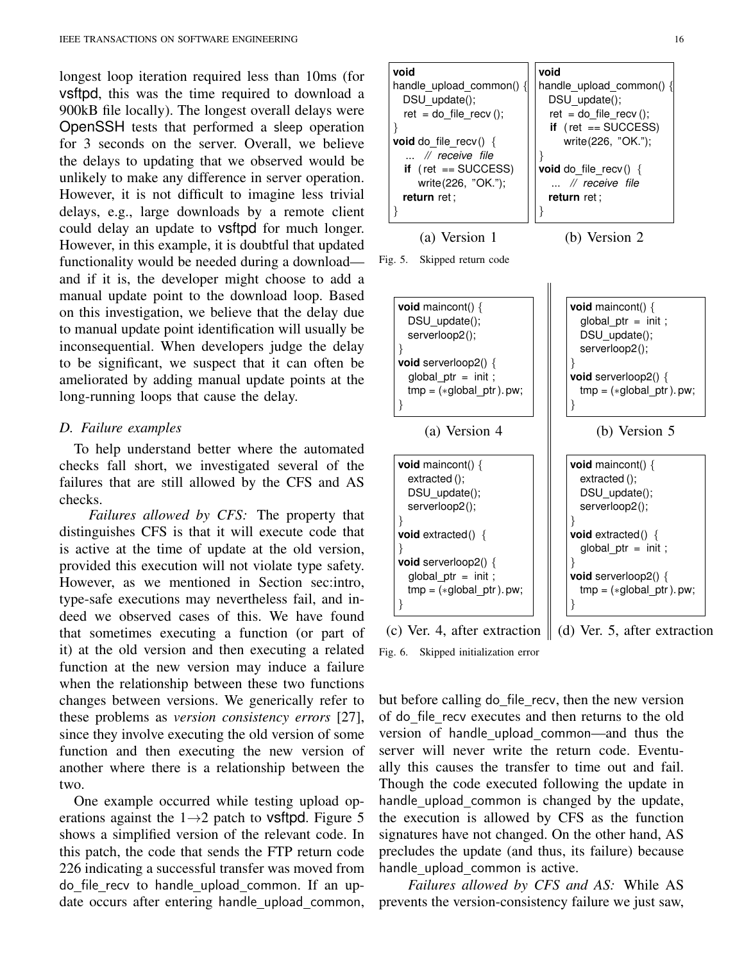longest loop iteration required less than 10ms (for vsftpd, this was the time required to download a 900kB file locally). The longest overall delays were OpenSSH tests that performed a sleep operation for 3 seconds on the server. Overall, we believe the delays to updating that we observed would be unlikely to make any difference in server operation. However, it is not difficult to imagine less trivial delays, e.g., large downloads by a remote client could delay an update to vsftpd for much longer. However, in this example, it is doubtful that updated functionality would be needed during a download and if it is, the developer might choose to add a manual update point to the download loop. Based on this investigation, we believe that the delay due to manual update point identification will usually be inconsequential. When developers judge the delay to be significant, we suspect that it can often be ameliorated by adding manual update points at the long-running loops that cause the delay.

# *D. Failure examples*

To help understand better where the automated checks fall short, we investigated several of the failures that are still allowed by the CFS and AS checks.

*Failures allowed by CFS:* The property that distinguishes CFS is that it will execute code that is active at the time of update at the old version, provided this execution will not violate type safety. However, as we mentioned in Section sec:intro, type-safe executions may nevertheless fail, and indeed we observed cases of this. We have found that sometimes executing a function (or part of it) at the old version and then executing a related function at the new version may induce a failure when the relationship between these two functions changes between versions. We generically refer to these problems as *version consistency errors* [27], since they involve executing the old version of some function and then executing the new version of another where there is a relationship between the two.

One example occurred while testing upload operations against the  $1\rightarrow 2$  patch to vsftpd. Figure 5 shows a simplified version of the relevant code. In this patch, the code that sends the FTP return code 226 indicating a successful transfer was moved from do file recv to handle upload common. If an update occurs after entering handle upload common,





Fig. 5. Skipped return code



Fig. 6. Skipped initialization error

but before calling do file recv, then the new version of do file recv executes and then returns to the old version of handle upload common—and thus the server will never write the return code. Eventually this causes the transfer to time out and fail. Though the code executed following the update in handle upload common is changed by the update, the execution is allowed by CFS as the function signatures have not changed. On the other hand, AS precludes the update (and thus, its failure) because handle\_upload\_common is active.

*Failures allowed by CFS and AS:* While AS prevents the version-consistency failure we just saw,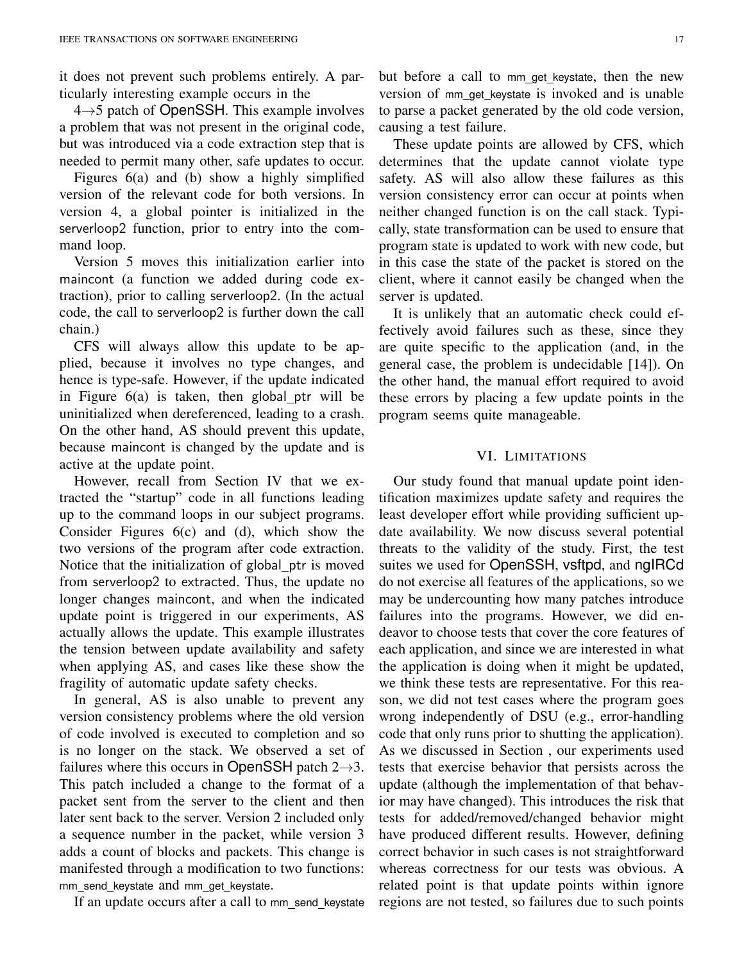it does not prevent such problems entirely. A particularly interesting example occurs in the

4→5 patch of OpenSSH. This example involves a problem that was not present in the original code, but was introduced via a code extraction step that is needed to permit many other, safe updates to occur.

Figures 6(a) and (b) show a highly simplified version of the relevant code for both versions. In version 4, a global pointer is initialized in the serverloop2 function, prior to entry into the command loop.

Version 5 moves this initialization earlier into maincont (a function we added during code extraction), prior to calling serverloop2. (In the actual code, the call to serverloop2 is further down the call chain.)

CFS will always allow this update to be applied, because it involves no type changes, and hence is type-safe. However, if the update indicated in Figure 6(a) is taken, then global ptr will be uninitialized when dereferenced, leading to a crash. On the other hand, AS should prevent this update, because maincont is changed by the update and is active at the update point.

However, recall from Section IV that we extracted the "startup" code in all functions leading up to the command loops in our subject programs. Consider Figures 6(c) and (d), which show the two versions of the program after code extraction. Notice that the initialization of global\_ptr is moved from serverloop2 to extracted. Thus, the update no longer changes maincont, and when the indicated update point is triggered in our experiments, AS actually allows the update. This example illustrates the tension between update availability and safety when applying AS, and cases like these show the fragility of automatic update safety checks.

In general, AS is also unable to prevent any version consistency problems where the old version of code involved is executed to completion and so is no longer on the stack. We observed a set of failures where this occurs in OpenSSH patch  $2\rightarrow3$ . This patch included a change to the format of a packet sent from the server to the client and then later sent back to the server. Version 2 included only a sequence number in the packet, while version 3 adds a count of blocks and packets. This change is manifested through a modification to two functions: mm send keystate and mm get keystate.

If an update occurs after a call to mm\_send\_keystate

but before a call to mm get keystate, then the new version of mm get keystate is invoked and is unable to parse a packet generated by the old code version, causing a test failure.

These update points are allowed by CFS, which determines that the update cannot violate type safety. AS will also allow these failures as this version consistency error can occur at points when neither changed function is on the call stack. Typically, state transformation can be used to ensure that program state is updated to work with new code, but in this case the state of the packet is stored on the client, where it cannot easily be changed when the server is updated.

It is unlikely that an automatic check could effectively avoid failures such as these, since they are quite specific to the application (and, in the general case, the problem is undecidable [14]). On the other hand, the manual effort required to avoid these errors by placing a few update points in the program seems quite manageable.

# VI. LIMITATIONS

Our study found that manual update point identification maximizes update safety and requires the least developer effort while providing sufficient update availability. We now discuss several potential threats to the validity of the study. First, the test suites we used for OpenSSH, vsftpd, and ngIRCd do not exercise all features of the applications, so we may be undercounting how many patches introduce failures into the programs. However, we did endeavor to choose tests that cover the core features of each application, and since we are interested in what the application is doing when it might be updated, we think these tests are representative. For this reason, we did not test cases where the program goes wrong independently of DSU (e.g., error-handling code that only runs prior to shutting the application). As we discussed in Section , our experiments used tests that exercise behavior that persists across the update (although the implementation of that behavior may have changed). This introduces the risk that tests for added/removed/changed behavior might have produced different results. However, defining correct behavior in such cases is not straightforward whereas correctness for our tests was obvious. A related point is that update points within ignore regions are not tested, so failures due to such points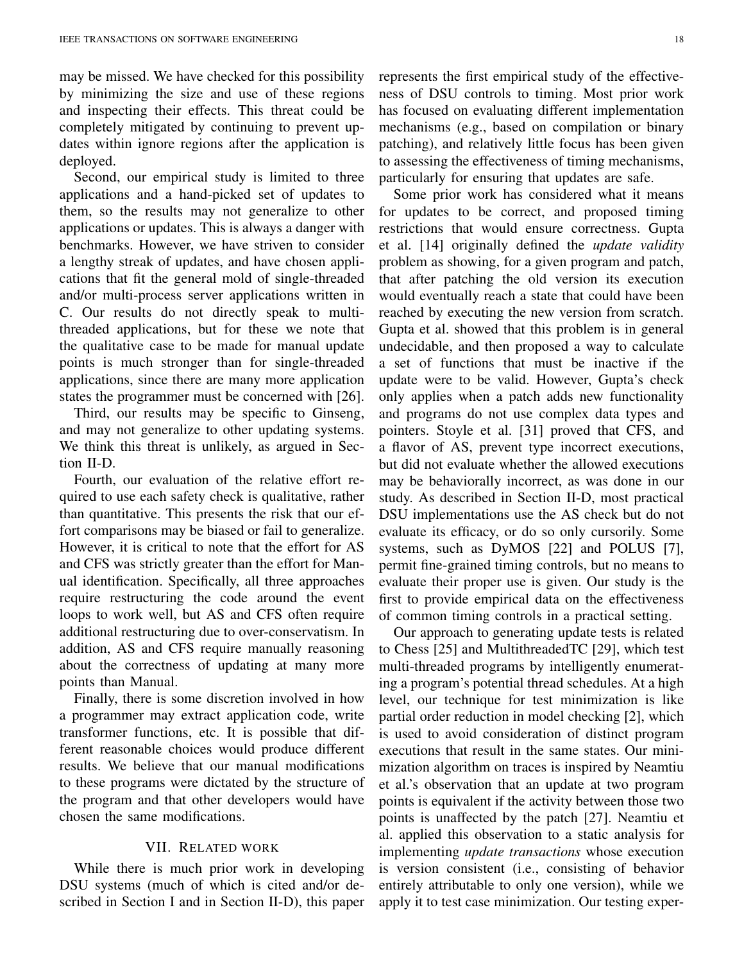may be missed. We have checked for this possibility by minimizing the size and use of these regions and inspecting their effects. This threat could be completely mitigated by continuing to prevent updates within ignore regions after the application is deployed.

Second, our empirical study is limited to three applications and a hand-picked set of updates to them, so the results may not generalize to other applications or updates. This is always a danger with benchmarks. However, we have striven to consider a lengthy streak of updates, and have chosen applications that fit the general mold of single-threaded and/or multi-process server applications written in C. Our results do not directly speak to multithreaded applications, but for these we note that the qualitative case to be made for manual update points is much stronger than for single-threaded applications, since there are many more application states the programmer must be concerned with [26].

Third, our results may be specific to Ginseng, and may not generalize to other updating systems. We think this threat is unlikely, as argued in Section II-D.

Fourth, our evaluation of the relative effort required to use each safety check is qualitative, rather than quantitative. This presents the risk that our effort comparisons may be biased or fail to generalize. However, it is critical to note that the effort for AS and CFS was strictly greater than the effort for Manual identification. Specifically, all three approaches require restructuring the code around the event loops to work well, but AS and CFS often require additional restructuring due to over-conservatism. In addition, AS and CFS require manually reasoning about the correctness of updating at many more points than Manual.

Finally, there is some discretion involved in how a programmer may extract application code, write transformer functions, etc. It is possible that different reasonable choices would produce different results. We believe that our manual modifications to these programs were dictated by the structure of the program and that other developers would have chosen the same modifications.

# VII. RELATED WORK

While there is much prior work in developing DSU systems (much of which is cited and/or described in Section I and in Section II-D), this paper

represents the first empirical study of the effectiveness of DSU controls to timing. Most prior work has focused on evaluating different implementation mechanisms (e.g., based on compilation or binary patching), and relatively little focus has been given to assessing the effectiveness of timing mechanisms, particularly for ensuring that updates are safe.

Some prior work has considered what it means for updates to be correct, and proposed timing restrictions that would ensure correctness. Gupta et al. [14] originally defined the *update validity* problem as showing, for a given program and patch, that after patching the old version its execution would eventually reach a state that could have been reached by executing the new version from scratch. Gupta et al. showed that this problem is in general undecidable, and then proposed a way to calculate a set of functions that must be inactive if the update were to be valid. However, Gupta's check only applies when a patch adds new functionality and programs do not use complex data types and pointers. Stoyle et al. [31] proved that CFS, and a flavor of AS, prevent type incorrect executions, but did not evaluate whether the allowed executions may be behaviorally incorrect, as was done in our study. As described in Section II-D, most practical DSU implementations use the AS check but do not evaluate its efficacy, or do so only cursorily. Some systems, such as DyMOS [22] and POLUS [7], permit fine-grained timing controls, but no means to evaluate their proper use is given. Our study is the first to provide empirical data on the effectiveness of common timing controls in a practical setting.

Our approach to generating update tests is related to Chess [25] and MultithreadedTC [29], which test multi-threaded programs by intelligently enumerating a program's potential thread schedules. At a high level, our technique for test minimization is like partial order reduction in model checking [2], which is used to avoid consideration of distinct program executions that result in the same states. Our minimization algorithm on traces is inspired by Neamtiu et al.'s observation that an update at two program points is equivalent if the activity between those two points is unaffected by the patch [27]. Neamtiu et al. applied this observation to a static analysis for implementing *update transactions* whose execution is version consistent (i.e., consisting of behavior entirely attributable to only one version), while we apply it to test case minimization. Our testing exper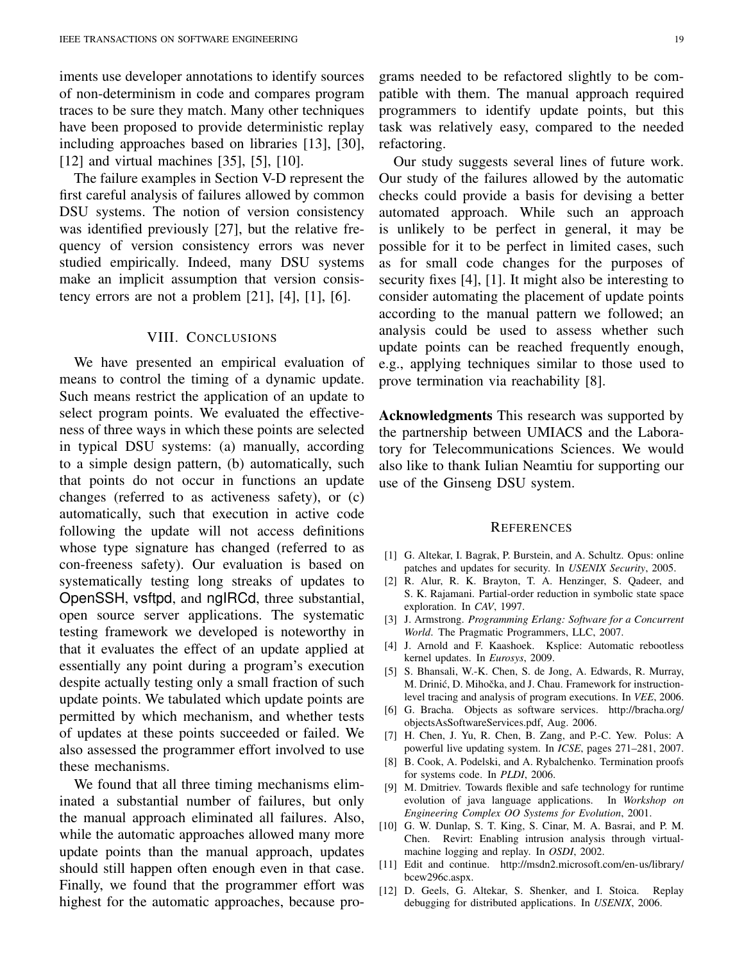iments use developer annotations to identify sources of non-determinism in code and compares program traces to be sure they match. Many other techniques have been proposed to provide deterministic replay including approaches based on libraries [13], [30], [12] and virtual machines [35], [5], [10].

The failure examples in Section V-D represent the first careful analysis of failures allowed by common DSU systems. The notion of version consistency was identified previously [27], but the relative frequency of version consistency errors was never studied empirically. Indeed, many DSU systems make an implicit assumption that version consistency errors are not a problem  $[21]$ ,  $[4]$ ,  $[1]$ ,  $[6]$ .

# VIII. CONCLUSIONS

We have presented an empirical evaluation of means to control the timing of a dynamic update. Such means restrict the application of an update to select program points. We evaluated the effectiveness of three ways in which these points are selected in typical DSU systems: (a) manually, according to a simple design pattern, (b) automatically, such that points do not occur in functions an update changes (referred to as activeness safety), or (c) automatically, such that execution in active code following the update will not access definitions whose type signature has changed (referred to as con-freeness safety). Our evaluation is based on systematically testing long streaks of updates to OpenSSH, vsftpd, and ngIRCd, three substantial, open source server applications. The systematic testing framework we developed is noteworthy in that it evaluates the effect of an update applied at essentially any point during a program's execution despite actually testing only a small fraction of such update points. We tabulated which update points are permitted by which mechanism, and whether tests of updates at these points succeeded or failed. We also assessed the programmer effort involved to use these mechanisms.

We found that all three timing mechanisms eliminated a substantial number of failures, but only the manual approach eliminated all failures. Also, while the automatic approaches allowed many more update points than the manual approach, updates should still happen often enough even in that case. Finally, we found that the programmer effort was highest for the automatic approaches, because programs needed to be refactored slightly to be compatible with them. The manual approach required programmers to identify update points, but this task was relatively easy, compared to the needed refactoring.

Our study suggests several lines of future work. Our study of the failures allowed by the automatic checks could provide a basis for devising a better automated approach. While such an approach is unlikely to be perfect in general, it may be possible for it to be perfect in limited cases, such as for small code changes for the purposes of security fixes [4], [1]. It might also be interesting to consider automating the placement of update points according to the manual pattern we followed; an analysis could be used to assess whether such update points can be reached frequently enough, e.g., applying techniques similar to those used to prove termination via reachability [8].

Acknowledgments This research was supported by the partnership between UMIACS and the Laboratory for Telecommunications Sciences. We would also like to thank Iulian Neamtiu for supporting our use of the Ginseng DSU system.

# **REFERENCES**

- [1] G. Altekar, I. Bagrak, P. Burstein, and A. Schultz. Opus: online patches and updates for security. In *USENIX Security*, 2005.
- [2] R. Alur, R. K. Brayton, T. A. Henzinger, S. Qadeer, and S. K. Rajamani. Partial-order reduction in symbolic state space exploration. In *CAV*, 1997.
- [3] J. Armstrong. *Programming Erlang: Software for a Concurrent World*. The Pragmatic Programmers, LLC, 2007.
- [4] J. Arnold and F. Kaashoek. Ksplice: Automatic rebootless kernel updates. In *Eurosys*, 2009.
- [5] S. Bhansali, W.-K. Chen, S. de Jong, A. Edwards, R. Murray, M. Drinić, D. Mihočka, and J. Chau. Framework for instructionlevel tracing and analysis of program executions. In *VEE*, 2006.
- [6] G. Bracha. Objects as software services. http://bracha.org/ objectsAsSoftwareServices.pdf, Aug. 2006.
- [7] H. Chen, J. Yu, R. Chen, B. Zang, and P.-C. Yew. Polus: A powerful live updating system. In *ICSE*, pages 271–281, 2007.
- [8] B. Cook, A. Podelski, and A. Rybalchenko. Termination proofs for systems code. In *PLDI*, 2006.
- [9] M. Dmitriev. Towards flexible and safe technology for runtime evolution of java language applications. In *Workshop on Engineering Complex OO Systems for Evolution*, 2001.
- [10] G. W. Dunlap, S. T. King, S. Cinar, M. A. Basrai, and P. M. Chen. Revirt: Enabling intrusion analysis through virtualmachine logging and replay. In *OSDI*, 2002.
- [11] Edit and continue. http://msdn2.microsoft.com/en-us/library/ bcew296c.aspx.
- [12] D. Geels, G. Altekar, S. Shenker, and I. Stoica. Replay debugging for distributed applications. In *USENIX*, 2006.